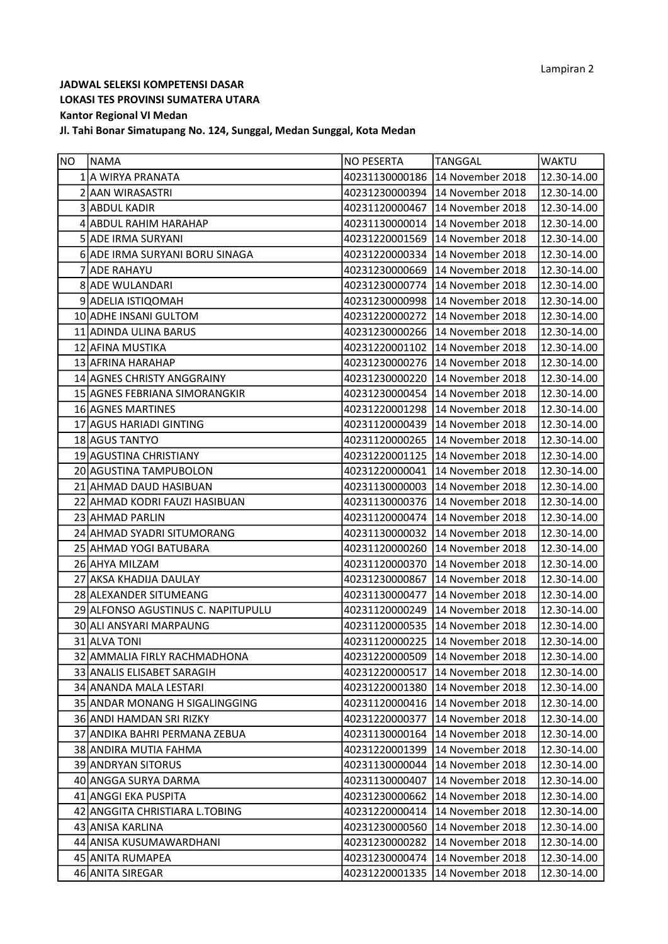| NO. | NAMA                               | <b>NO PESERTA</b> | <b>TANGGAL</b>                    | <b>WAKTU</b>    |
|-----|------------------------------------|-------------------|-----------------------------------|-----------------|
|     | 1 A WIRYA PRANATA                  | 40231130000186    | 14 November 2018                  | 12.30-14.00     |
|     | 2 AAN WIRASASTRI                   | 40231230000394    | 14 November 2018                  | 12.30-14.00     |
|     | 3 ABDUL KADIR                      | 40231120000467    | 14 November 2018                  | 12.30-14.00     |
|     | 4 ABDUL RAHIM HARAHAP              | 40231130000014    | 14 November 2018                  | 12.30-14.00     |
|     | 5 ADE IRMA SURYANI                 | 40231220001569    | 14 November 2018                  | 12.30-14.00     |
|     | 6 ADE IRMA SURYANI BORU SINAGA     | 40231220000334    | 14 November 2018                  | 12.30-14.00     |
|     | 7 ADE RAHAYU                       | 40231230000669    | 14 November 2018                  | 12.30-14.00     |
|     | 8 ADE WULANDARI                    | 40231230000774    | 14 November 2018                  | 12.30-14.00     |
|     | 9 ADELIA ISTIQOMAH                 | 40231230000998    | 14 November 2018                  | 12.30-14.00     |
|     | 10 ADHE INSANI GULTOM              | 40231220000272    | 14 November 2018                  | 12.30-14.00     |
|     | 11 ADINDA ULINA BARUS              | 40231230000266    | 14 November 2018                  | 12.30-14.00     |
|     | 12 AFINA MUSTIKA                   |                   | 40231220001102 14 November 2018   | 12.30-14.00     |
|     | 13 AFRINA HARAHAP                  | 40231230000276    | 14 November 2018                  | 12.30-14.00     |
|     | 14 AGNES CHRISTY ANGGRAINY         | 40231230000220    | 14 November 2018                  | 12.30-14.00     |
|     | 15 AGNES FEBRIANA SIMORANGKIR      | 40231230000454    | 14 November 2018                  | 12.30-14.00     |
|     | 16 AGNES MARTINES                  | 40231220001298    | 14 November 2018                  | 12.30-14.00     |
|     | 17 AGUS HARIADI GINTING            | 40231120000439    | 14 November 2018                  | 12.30-14.00     |
|     | 18 AGUS TANTYO                     |                   | 40231120000265   14 November 2018 | 12.30-14.00     |
|     | 19 AGUSTINA CHRISTIANY             | 40231220001125    | 14 November 2018                  | 12.30-14.00     |
|     | 20 AGUSTINA TAMPUBOLON             | 40231220000041    | 14 November 2018                  | 12.30-14.00     |
|     | 21 AHMAD DAUD HASIBUAN             | 40231130000003    | 14 November 2018                  | 12.30-14.00     |
|     | 22 AHMAD KODRI FAUZI HASIBUAN      | 40231130000376    | 14 November 2018                  | 12.30-14.00     |
|     | 23 AHMAD PARLIN                    | 40231120000474    | 14 November 2018                  | 12.30-14.00     |
|     | 24 AHMAD SYADRI SITUMORANG         | 40231130000032    | 14 November 2018                  | 12.30-14.00     |
|     | 25 AHMAD YOGI BATUBARA             | 40231120000260    | 14 November 2018                  | 12.30-14.00     |
|     | 26 AHYA MILZAM                     | 40231120000370    | 14 November 2018                  | 12.30-14.00     |
|     | 27 AKSA KHADIJA DAULAY             | 40231230000867    | 14 November 2018                  | 12.30-14.00     |
|     | 28 ALEXANDER SITUMEANG             | 40231130000477    | 14 November 2018                  | 12.30-14.00     |
|     | 29 ALFONSO AGUSTINUS C. NAPITUPULU | 40231120000249    | 14 November 2018                  | 12.30-14.00     |
|     | 30 ALI ANSYARI MARPAUNG            | 40231120000535    | 14 November 2018                  | 12.30-14.00     |
|     | 31 ALVA TONI                       | 40231120000225    | 14 November 2018                  | 12.30-14.00     |
|     | 32 AMMALIA FIRLY RACHMADHONA       |                   | 40231220000509 14 November 2018   | $12.30 - 14.00$ |
|     | 33 ANALIS ELISABET SARAGIH         | 40231220000517    | 14 November 2018                  | 12.30-14.00     |
|     | 34 ANANDA MALA LESTARI             | 40231220001380    | 14 November 2018                  | 12.30-14.00     |
|     | 35 ANDAR MONANG H SIGALINGGING     | 40231120000416    | 14 November 2018                  | 12.30-14.00     |
|     | 36 ANDI HAMDAN SRI RIZKY           | 40231220000377    | 14 November 2018                  | 12.30-14.00     |
|     | 37 ANDIKA BAHRI PERMANA ZEBUA      | 40231130000164    | 14 November 2018                  | 12.30-14.00     |
|     | 38 ANDIRA MUTIA FAHMA              | 40231220001399    | 14 November 2018                  | 12.30-14.00     |
|     | 39 ANDRYAN SITORUS                 | 40231130000044    | 14 November 2018                  | 12.30-14.00     |
|     | 40 ANGGA SURYA DARMA               | 40231130000407    | 14 November 2018                  | 12.30-14.00     |
|     | 41 ANGGI EKA PUSPITA               | 40231230000662    | 14 November 2018                  | 12.30-14.00     |
|     | 42 ANGGITA CHRISTIARA L.TOBING     | 40231220000414    | 14 November 2018                  | 12.30-14.00     |
|     | 43 ANISA KARLINA                   | 40231230000560    | 14 November 2018                  | 12.30-14.00     |
|     | 44 ANISA KUSUMAWARDHANI            | 40231230000282    | 14 November 2018                  | 12.30-14.00     |
|     | 45 ANITA RUMAPEA                   | 40231230000474    | 14 November 2018                  | 12.30-14.00     |
|     | 46 ANITA SIREGAR                   | 40231220001335    | 14 November 2018                  | 12.30-14.00     |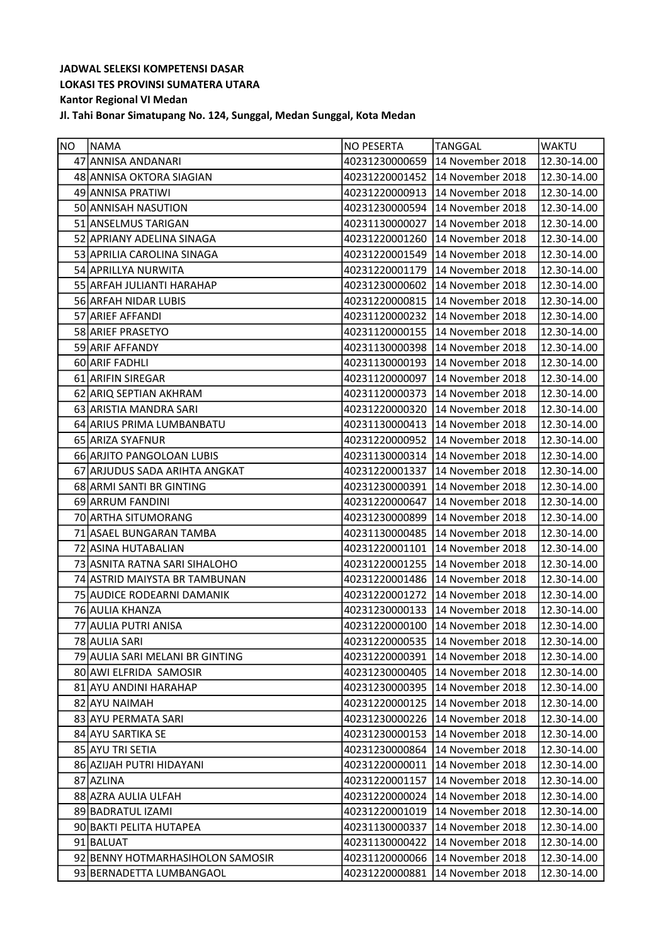| NO. | <b>NAMA</b>                      | <b>NO PESERTA</b> | <b>TANGGAL</b>                  | <b>WAKTU</b> |
|-----|----------------------------------|-------------------|---------------------------------|--------------|
|     | 47 ANNISA ANDANARI               | 40231230000659    | 14 November 2018                | 12.30-14.00  |
|     | 48 ANNISA OKTORA SIAGIAN         |                   | 40231220001452 14 November 2018 | 12.30-14.00  |
|     | 49 ANNISA PRATIWI                | 40231220000913    | 14 November 2018                | 12.30-14.00  |
|     | 50 ANNISAH NASUTION              | 40231230000594    | 14 November 2018                | 12.30-14.00  |
|     | 51 ANSELMUS TARIGAN              | 40231130000027    | 14 November 2018                | 12.30-14.00  |
|     | 52 APRIANY ADELINA SINAGA        | 40231220001260    | 14 November 2018                | 12.30-14.00  |
|     | 53 APRILIA CAROLINA SINAGA       | 40231220001549    | 14 November 2018                | 12.30-14.00  |
|     | 54 APRILLYA NURWITA              | 40231220001179    | 14 November 2018                | 12.30-14.00  |
|     | 55 ARFAH JULIANTI HARAHAP        |                   | 40231230000602 14 November 2018 | 12.30-14.00  |
|     | 56 ARFAH NIDAR LUBIS             | 40231220000815    | 14 November 2018                | 12.30-14.00  |
|     | 57 ARIEF AFFANDI                 | 40231120000232    | 14 November 2018                | 12.30-14.00  |
|     | 58 ARIEF PRASETYO                | 40231120000155    | 14 November 2018                | 12.30-14.00  |
|     | 59 ARIF AFFANDY                  | 40231130000398    | 14 November 2018                | 12.30-14.00  |
|     | 60 ARIF FADHLI                   |                   | 40231130000193 14 November 2018 | 12.30-14.00  |
|     | 61 ARIFIN SIREGAR                |                   | 40231120000097 14 November 2018 | 12.30-14.00  |
|     | 62 ARIQ SEPTIAN AKHRAM           | 40231120000373    | 14 November 2018                | 12.30-14.00  |
|     | 63 ARISTIA MANDRA SARI           | 40231220000320    | 14 November 2018                | 12.30-14.00  |
|     | 64 ARIUS PRIMA LUMBANBATU        | 40231130000413    | 14 November 2018                | 12.30-14.00  |
|     | 65 ARIZA SYAFNUR                 |                   | 40231220000952 14 November 2018 | 12.30-14.00  |
|     | 66 ARJITO PANGOLOAN LUBIS        | 40231130000314    | 14 November 2018                | 12.30-14.00  |
|     | 67 ARJUDUS SADA ARIHTA ANGKAT    | 40231220001337    | 14 November 2018                | 12.30-14.00  |
|     | 68 ARMI SANTI BR GINTING         | 40231230000391    | 14 November 2018                | 12.30-14.00  |
|     | 69 ARRUM FANDINI                 | 40231220000647    | 14 November 2018                | 12.30-14.00  |
|     | 70 ARTHA SITUMORANG              | 40231230000899    | 14 November 2018                | 12.30-14.00  |
|     | 71 ASAEL BUNGARAN TAMBA          | 40231130000485    | 14 November 2018                | 12.30-14.00  |
|     | 72 ASINA HUTABALIAN              | 40231220001101    | 14 November 2018                | 12.30-14.00  |
|     | 73 ASNITA RATNA SARI SIHALOHO    | 40231220001255    | 14 November 2018                | 12.30-14.00  |
|     | 74 ASTRID MAIYSTA BR TAMBUNAN    | 40231220001486    | 14 November 2018                | 12.30-14.00  |
|     | 75 AUDICE RODEARNI DAMANIK       | 40231220001272    | 14 November 2018                | 12.30-14.00  |
|     | 76 AULIA KHANZA                  | 40231230000133    | 14 November 2018                | 12.30-14.00  |
|     | 77 AULIA PUTRI ANISA             | 40231220000100    | 14 November 2018                | 12.30-14.00  |
|     | 78 AULIA SARI                    |                   | 40231220000535 14 November 2018 | 12.30-14.00  |
|     | 79 AULIA SARI MELANI BR GINTING  | 40231220000391    | 14 November 2018                | 12.30-14.00  |
|     | 80 AWI ELFRIDA SAMOSIR           | 40231230000405    | 14 November 2018                | 12.30-14.00  |
|     | 81 AYU ANDINI HARAHAP            | 40231230000395    | 14 November 2018                | 12.30-14.00  |
|     | 82 AYU NAIMAH                    | 40231220000125    | 14 November 2018                | 12.30-14.00  |
|     | 83 AYU PERMATA SARI              | 40231230000226    | 14 November 2018                | 12.30-14.00  |
|     | 84 AYU SARTIKA SE                | 40231230000153    | 14 November 2018                | 12.30-14.00  |
|     | 85 AYU TRI SETIA                 | 40231230000864    | 14 November 2018                | 12.30-14.00  |
|     | 86 AZIJAH PUTRI HIDAYANI         | 40231220000011    | 14 November 2018                | 12.30-14.00  |
|     | 87 AZLINA                        | 40231220001157    | 14 November 2018                | 12.30-14.00  |
|     | 88 AZRA AULIA ULFAH              | 40231220000024    | 14 November 2018                | 12.30-14.00  |
|     | 89 BADRATUL IZAMI                | 40231220001019    | 14 November 2018                | 12.30-14.00  |
|     | 90 BAKTI PELITA HUTAPEA          | 40231130000337    | 14 November 2018                | 12.30-14.00  |
|     | 91 BALUAT                        | 40231130000422    | 14 November 2018                | 12.30-14.00  |
|     | 92 BENNY HOTMARHASIHOLON SAMOSIR | 40231120000066    | 14 November 2018                | 12.30-14.00  |
|     | 93 BERNADETTA LUMBANGAOL         | 40231220000881    | 14 November 2018                | 12.30-14.00  |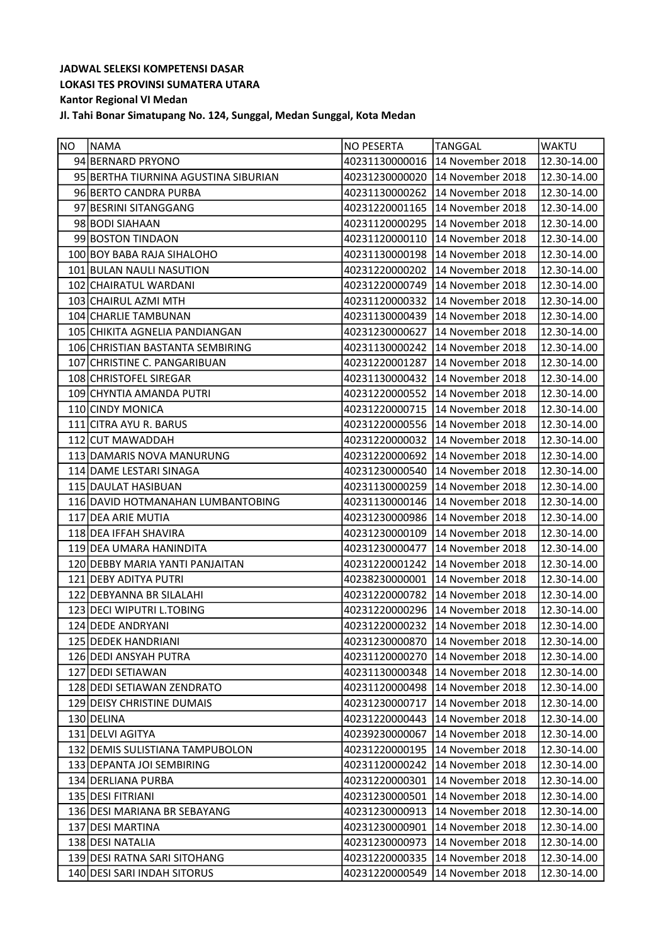| <b>NO</b> | NAMA                                 | <b>NO PESERTA</b> | <b>TANGGAL</b>                  | <b>WAKTU</b>         |
|-----------|--------------------------------------|-------------------|---------------------------------|----------------------|
|           | 94 BERNARD PRYONO                    |                   | 40231130000016 14 November 2018 | 12.30-14.00          |
|           | 95 BERTHA TIURNINA AGUSTINA SIBURIAN | 40231230000020    | 14 November 2018                | 12.30-14.00          |
|           | 96 BERTO CANDRA PURBA                | 40231130000262    | 14 November 2018                | 12.30-14.00          |
|           | 97 BESRINI SITANGGANG                |                   | 40231220001165 14 November 2018 | 12.30-14.00          |
|           | 98 BODI SIAHAAN                      | 40231120000295    | 14 November 2018                | 12.30-14.00          |
|           | 99 BOSTON TINDAON                    | 40231120000110    | 14 November 2018                | 12.30-14.00          |
|           | 100 BOY BABA RAJA SIHALOHO           | 40231130000198    | 14 November 2018                | 12.30-14.00          |
|           | 101 BULAN NAULI NASUTION             | 40231220000202    | 14 November 2018                | 12.30-14.00          |
|           | 102 CHAIRATUL WARDANI                | 40231220000749    | 14 November 2018                | 12.30-14.00          |
|           | 103 CHAIRUL AZMI MTH                 | 40231120000332    | 14 November 2018                | 12.30-14.00          |
|           | 104 CHARLIE TAMBUNAN                 | 40231130000439    | 14 November 2018                | 12.30-14.00          |
|           | 105 CHIKITA AGNELIA PANDIANGAN       | 40231230000627    | 14 November 2018                | 12.30-14.00          |
|           | 106 CHRISTIAN BASTANTA SEMBIRING     | 40231130000242    | 14 November 2018                | 12.30-14.00          |
|           | 107 CHRISTINE C. PANGARIBUAN         | 40231220001287    | 14 November 2018                | 12.30-14.00          |
|           | 108 CHRISTOFEL SIREGAR               | 40231130000432    | 14 November 2018                | 12.30-14.00          |
|           | 109 CHYNTIA AMANDA PUTRI             | 40231220000552    | 14 November 2018                | 12.30-14.00          |
|           | 110 CINDY MONICA                     | 40231220000715    | 14 November 2018                | 12.30-14.00          |
|           | 111 CITRA AYU R. BARUS               | 40231220000556    | 14 November 2018                | 12.30-14.00          |
|           | 112 CUT MAWADDAH                     | 40231220000032    | 14 November 2018                | 12.30-14.00          |
|           | 113 DAMARIS NOVA MANURUNG            | 40231220000692    | 14 November 2018                | 12.30-14.00          |
|           | 114 DAME LESTARI SINAGA              | 40231230000540    | 14 November 2018                | 12.30-14.00          |
|           | 115 DAULAT HASIBUAN                  | 40231130000259    | 14 November 2018                | 12.30-14.00          |
|           | 116 DAVID HOTMANAHAN LUMBANTOBING    | 40231130000146    | 14 November 2018                | 12.30-14.00          |
|           | 117 DEA ARIE MUTIA                   |                   | 40231230000986 14 November 2018 | 12.30-14.00          |
|           | 118 DEA IFFAH SHAVIRA                | 40231230000109    | 14 November 2018                | 12.30-14.00          |
|           | 119 DEA UMARA HANINDITA              | 40231230000477    | 14 November 2018                | 12.30-14.00          |
|           | 120 DEBBY MARIA YANTI PANJAITAN      | 40231220001242    | 14 November 2018                | 12.30-14.00          |
|           | 121 DEBY ADITYA PUTRI                |                   | 40238230000001 14 November 2018 | 12.30-14.00          |
|           | 122 DEBYANNA BR SILALAHI             | 40231220000782    | 14 November 2018                | 12.30-14.00          |
|           | 123 DECI WIPUTRI L.TOBING            |                   | 40231220000296 14 November 2018 | 12.30-14.00          |
|           | 124 DEDE ANDRYANI                    |                   | 40231220000232 14 November 2018 | 12.30-14.00          |
|           | 125 DEDEK HANDRIANI                  |                   | 40231230000870 14 November 2018 | $\sqrt{12.30-14.00}$ |
|           | 126 DEDI ANSYAH PUTRA                | 40231120000270    | 14 November 2018                | 12.30-14.00          |
|           | 127 DEDI SETIAWAN                    | 40231130000348    | 14 November 2018                | 12.30-14.00          |
|           | 128 DEDI SETIAWAN ZENDRATO           | 40231120000498    | 14 November 2018                | 12.30-14.00          |
|           | 129 DEISY CHRISTINE DUMAIS           | 40231230000717    | 14 November 2018                | 12.30-14.00          |
|           | 130 DELINA                           | 40231220000443    | 14 November 2018                | 12.30-14.00          |
|           | 131 DELVI AGITYA                     | 40239230000067    | 14 November 2018                | 12.30-14.00          |
|           | 132 DEMIS SULISTIANA TAMPUBOLON      | 40231220000195    | 14 November 2018                | 12.30-14.00          |
|           | 133 DEPANTA JOI SEMBIRING            | 40231120000242    | 14 November 2018                | 12.30-14.00          |
|           | 134 DERLIANA PURBA                   | 40231220000301    | 14 November 2018                | 12.30-14.00          |
|           | 135 DESI FITRIANI                    | 40231230000501    | 14 November 2018                | 12.30-14.00          |
|           | 136 DESI MARIANA BR SEBAYANG         | 40231230000913    | 14 November 2018                | 12.30-14.00          |
|           | 137 DESI MARTINA                     | 40231230000901    | 14 November 2018                | 12.30-14.00          |
|           | 138 DESI NATALIA                     | 40231230000973    | 14 November 2018                | 12.30-14.00          |
|           | 139 DESI RATNA SARI SITOHANG         | 40231220000335    | 14 November 2018                | 12.30-14.00          |
|           | 140 DESI SARI INDAH SITORUS          | 40231220000549    | 14 November 2018                | 12.30-14.00          |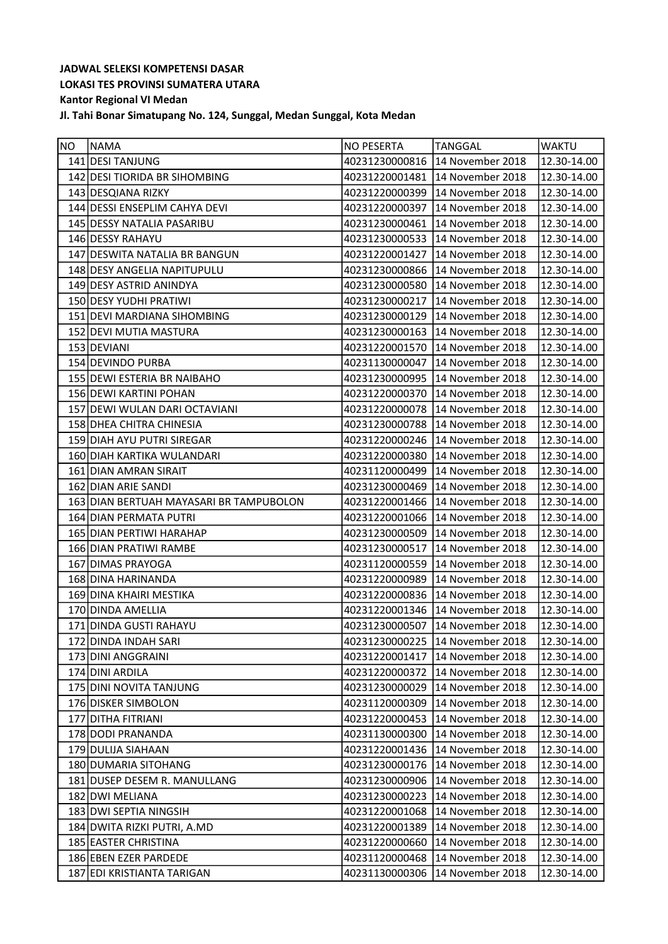| NO <sub>_</sub> | NAMA                                    | <b>NO PESERTA</b> | TANGGAL                         | <b>WAKTU</b>         |
|-----------------|-----------------------------------------|-------------------|---------------------------------|----------------------|
|                 | 141 DESI TANJUNG                        |                   | 40231230000816 14 November 2018 | 12.30-14.00          |
|                 | 142 DESI TIORIDA BR SIHOMBING           | 40231220001481    | 14 November 2018                | 12.30-14.00          |
|                 | 143 DESQIANA RIZKY                      | 40231220000399    | 14 November 2018                | 12.30-14.00          |
|                 | 144 DESSI ENSEPLIM CAHYA DEVI           | 40231220000397    | 14 November 2018                | 12.30-14.00          |
|                 | 145 DESSY NATALIA PASARIBU              | 40231230000461    | 14 November 2018                | 12.30-14.00          |
|                 | 146 DESSY RAHAYU                        | 40231230000533    | 14 November 2018                | 12.30-14.00          |
|                 | 147 DESWITA NATALIA BR BANGUN           | 40231220001427    | 14 November 2018                | 12.30-14.00          |
|                 | 148 DESY ANGELIA NAPITUPULU             | 40231230000866    | 14 November 2018                | 12.30-14.00          |
|                 | 149 DESY ASTRID ANINDYA                 | 40231230000580    | 14 November 2018                | 12.30-14.00          |
|                 | 150 DESY YUDHI PRATIWI                  | 40231230000217    | 14 November 2018                | 12.30-14.00          |
|                 | 151 DEVI MARDIANA SIHOMBING             | 40231230000129    | 14 November 2018                | 12.30-14.00          |
|                 | 152 DEVI MUTIA MASTURA                  | 40231230000163    | 14 November 2018                | 12.30-14.00          |
|                 | 153 DEVIANI                             | 40231220001570    | 14 November 2018                | 12.30-14.00          |
|                 | 154 DEVINDO PURBA                       |                   | 40231130000047 14 November 2018 | 12.30-14.00          |
|                 | 155 DEWI ESTERIA BR NAIBAHO             |                   | 40231230000995 14 November 2018 | 12.30-14.00          |
|                 | 156 DEWI KARTINI POHAN                  | 40231220000370    | 14 November 2018                | 12.30-14.00          |
|                 | 157 DEWI WULAN DARI OCTAVIANI           | 40231220000078    | 14 November 2018                | 12.30-14.00          |
|                 | 158 DHEA CHITRA CHINESIA                | 40231230000788    | 14 November 2018                | 12.30-14.00          |
|                 | 159 DIAH AYU PUTRI SIREGAR              |                   | 40231220000246 14 November 2018 | 12.30-14.00          |
|                 | 160 DIAH KARTIKA WULANDARI              | 40231220000380    | 14 November 2018                | 12.30-14.00          |
|                 | 161 DIAN AMRAN SIRAIT                   | 40231120000499    | 14 November 2018                | 12.30-14.00          |
|                 | 162 DIAN ARIE SANDI                     | 40231230000469    | 14 November 2018                | 12.30-14.00          |
|                 | 163 DIAN BERTUAH MAYASARI BR TAMPUBOLON | 40231220001466    | 14 November 2018                | 12.30-14.00          |
|                 | 164 DIAN PERMATA PUTRI                  |                   | 40231220001066 14 November 2018 | 12.30-14.00          |
|                 | 165 DIAN PERTIWI HARAHAP                | 40231230000509    | 14 November 2018                | 12.30-14.00          |
|                 | 166 DIAN PRATIWI RAMBE                  | 40231230000517    | 14 November 2018                | 12.30-14.00          |
|                 | 167 DIMAS PRAYOGA                       | 40231120000559    | 14 November 2018                | 12.30-14.00          |
|                 | 168 DINA HARINANDA                      | 40231220000989    | 14 November 2018                | 12.30-14.00          |
|                 | 169 DINA KHAIRI MESTIKA                 | 40231220000836    | 14 November 2018                | 12.30-14.00          |
|                 | 170 DINDA AMELLIA                       |                   | 40231220001346 14 November 2018 | 12.30-14.00          |
|                 | 171 DINDA GUSTI RAHAYU                  |                   | 40231230000507 14 November 2018 | 12.30-14.00          |
|                 | 172 DINDA INDAH SARI                    |                   | 40231230000225 14 November 2018 | $\sqrt{12.30-14.00}$ |
|                 | 173 DINI ANGGRAINI                      | 40231220001417    | 14 November 2018                | 12.30-14.00          |
|                 | 174 DINI ARDILA                         | 40231220000372    | 14 November 2018                | 12.30-14.00          |
|                 | 175 DINI NOVITA TANJUNG                 | 40231230000029    | 14 November 2018                | 12.30-14.00          |
|                 | 176 DISKER SIMBOLON                     | 40231120000309    | 14 November 2018                | 12.30-14.00          |
|                 | 177 DITHA FITRIANI                      | 40231220000453    | 14 November 2018                | 12.30-14.00          |
|                 | 178 DODI PRANANDA                       | 40231130000300    | 14 November 2018                | 12.30-14.00          |
|                 | 179 DULIJA SIAHAAN                      | 40231220001436    | 14 November 2018                | 12.30-14.00          |
|                 | 180 DUMARIA SITOHANG                    | 40231230000176    | 14 November 2018                | 12.30-14.00          |
|                 | 181 DUSEP DESEM R. MANULLANG            | 40231230000906    | 14 November 2018                | 12.30-14.00          |
|                 | 182 DWI MELIANA                         | 40231230000223    | 14 November 2018                | 12.30-14.00          |
|                 | 183 DWI SEPTIA NINGSIH                  | 40231220001068    | 14 November 2018                | 12.30-14.00          |
|                 | 184 DWITA RIZKI PUTRI, A.MD             | 40231220001389    | 14 November 2018                | 12.30-14.00          |
|                 | 185 EASTER CHRISTINA                    | 40231220000660    | 14 November 2018                | 12.30-14.00          |
|                 | 186 EBEN EZER PARDEDE                   | 40231120000468    | 14 November 2018                | 12.30-14.00          |
|                 | 187 EDI KRISTIANTA TARIGAN              | 40231130000306    | 14 November 2018                | 12.30-14.00          |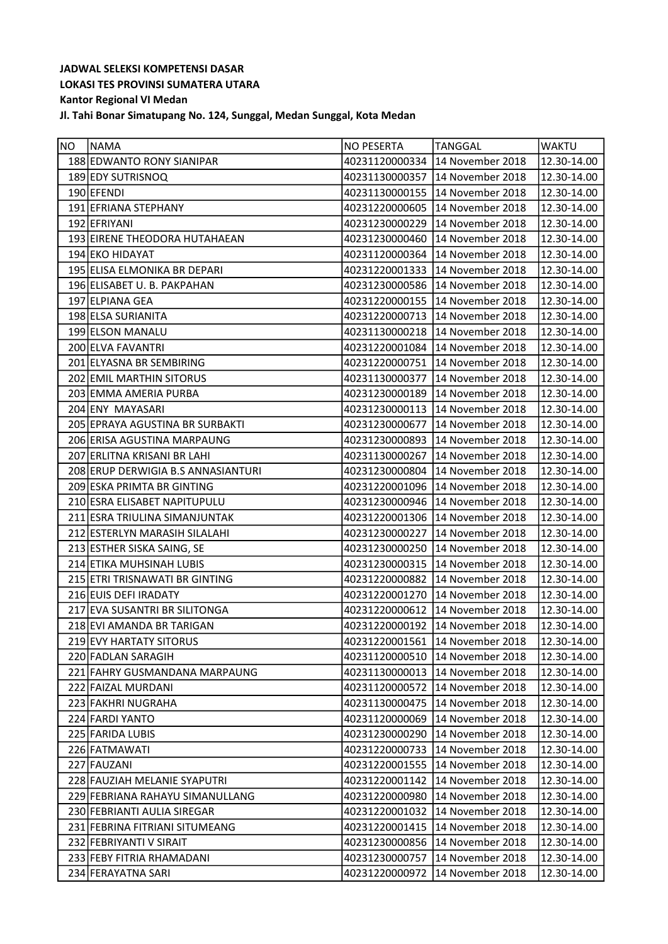| <b>NO</b> | <b>NAMA</b>                        | NO PESERTA     | TANGGAL                         | <b>WAKTU</b>         |
|-----------|------------------------------------|----------------|---------------------------------|----------------------|
|           | 188 EDWANTO RONY SIANIPAR          | 40231120000334 | 14 November 2018                | 12.30-14.00          |
|           | 189 EDY SUTRISNOQ                  | 40231130000357 | 14 November 2018                | 12.30-14.00          |
|           | 190 EFENDI                         | 40231130000155 | 14 November 2018                | 12.30-14.00          |
|           | 191 EFRIANA STEPHANY               | 40231220000605 | 14 November 2018                | 12.30-14.00          |
|           | 192 EFRIYANI                       | 40231230000229 | 14 November 2018                | 12.30-14.00          |
|           | 193 EIRENE THEODORA HUTAHAEAN      | 40231230000460 | 14 November 2018                | 12.30-14.00          |
|           | 194 EKO HIDAYAT                    | 40231120000364 | 14 November 2018                | 12.30-14.00          |
|           | 195 ELISA ELMONIKA BR DEPARI       |                | 40231220001333 14 November 2018 | 12.30-14.00          |
|           | 196 ELISABET U. B. PAKPAHAN        | 40231230000586 | 14 November 2018                | 12.30-14.00          |
|           | 197 ELPIANA GEA                    | 40231220000155 | 14 November 2018                | 12.30-14.00          |
|           | 198 ELSA SURIANITA                 | 40231220000713 | 14 November 2018                | 12.30-14.00          |
|           | 199 ELSON MANALU                   | 40231130000218 | 14 November 2018                | 12.30-14.00          |
|           | 200 ELVA FAVANTRI                  |                | 40231220001084 14 November 2018 | 12.30-14.00          |
|           | 201 ELYASNA BR SEMBIRING           |                | 40231220000751 14 November 2018 | 12.30-14.00          |
|           | 202 EMIL MARTHIN SITORUS           | 40231130000377 | 14 November 2018                | 12.30-14.00          |
|           | 203 EMMA AMERIA PURBA              | 40231230000189 | 14 November 2018                | 12.30-14.00          |
|           | 204 ENY MAYASARI                   | 40231230000113 | 14 November 2018                | 12.30-14.00          |
|           | 205 EPRAYA AGUSTINA BR SURBAKTI    | 40231230000677 | 14 November 2018                | 12.30-14.00          |
|           | 206 ERISA AGUSTINA MARPAUNG        | 40231230000893 | 14 November 2018                | 12.30-14.00          |
|           | 207 ERLITNA KRISANI BR LAHI        | 40231130000267 | 14 November 2018                | 12.30-14.00          |
|           | 208 ERUP DERWIGIA B.S ANNASIANTURI | 40231230000804 | 14 November 2018                | 12.30-14.00          |
|           | 209 ESKA PRIMTA BR GINTING         | 40231220001096 | 14 November 2018                | 12.30-14.00          |
|           | 210 ESRA ELISABET NAPITUPULU       | 40231230000946 | 14 November 2018                | 12.30-14.00          |
|           | 211 ESRA TRIULINA SIMANJUNTAK      |                | 40231220001306 14 November 2018 | 12.30-14.00          |
|           | 212 ESTERLYN MARASIH SILALAHI      |                | 40231230000227 14 November 2018 | 12.30-14.00          |
|           | 213 ESTHER SISKA SAING, SE         | 40231230000250 | 14 November 2018                | 12.30-14.00          |
|           | 214 ETIKA MUHSINAH LUBIS           |                | 40231230000315 14 November 2018 | 12.30-14.00          |
|           | 215 ETRI TRISNAWATI BR GINTING     |                | 40231220000882 14 November 2018 | 12.30-14.00          |
|           | 216 EUIS DEFI IRADATY              | 40231220001270 | 14 November 2018                | 12.30-14.00          |
|           | 217 EVA SUSANTRI BR SILITONGA      |                | 40231220000612 14 November 2018 | 12.30-14.00          |
|           | 218 EVI AMANDA BR TARIGAN          |                | 40231220000192 14 November 2018 | 12.30-14.00          |
|           | 219 EVY HARTATY SITORUS            |                | 40231220001561 14 November 2018 | $\sqrt{12.30-14.00}$ |
|           | 220 FADLAN SARAGIH                 | 40231120000510 | 14 November 2018                | 12.30-14.00          |
|           | 221 FAHRY GUSMANDANA MARPAUNG      | 40231130000013 | 14 November 2018                | 12.30-14.00          |
|           | 222 FAIZAL MURDANI                 |                | 40231120000572 14 November 2018 | 12.30-14.00          |
|           | 223 FAKHRI NUGRAHA                 | 40231130000475 | 14 November 2018                | 12.30-14.00          |
|           | 224 FARDI YANTO                    | 40231120000069 | 14 November 2018                | 12.30-14.00          |
|           | 225 FARIDA LUBIS                   | 40231230000290 | 14 November 2018                | 12.30-14.00          |
|           | 226 FATMAWATI                      | 40231220000733 | 14 November 2018                | 12.30-14.00          |
|           | 227 FAUZANI                        | 40231220001555 | 14 November 2018                | 12.30-14.00          |
|           | 228 FAUZIAH MELANIE SYAPUTRI       | 40231220001142 | 14 November 2018                | 12.30-14.00          |
|           | 229 FEBRIANA RAHAYU SIMANULLANG    | 40231220000980 | 14 November 2018                | 12.30-14.00          |
|           | 230 FEBRIANTI AULIA SIREGAR        | 40231220001032 | 14 November 2018                | 12.30-14.00          |
|           | 231 FEBRINA FITRIANI SITUMEANG     | 40231220001415 | 14 November 2018                | 12.30-14.00          |
|           | 232 FEBRIYANTI V SIRAIT            | 40231230000856 | 14 November 2018                | 12.30-14.00          |
|           | 233 FEBY FITRIA RHAMADANI          | 40231230000757 | 14 November 2018                | 12.30-14.00          |
|           | 234 FERAYATNA SARI                 | 40231220000972 | 14 November 2018                | 12.30-14.00          |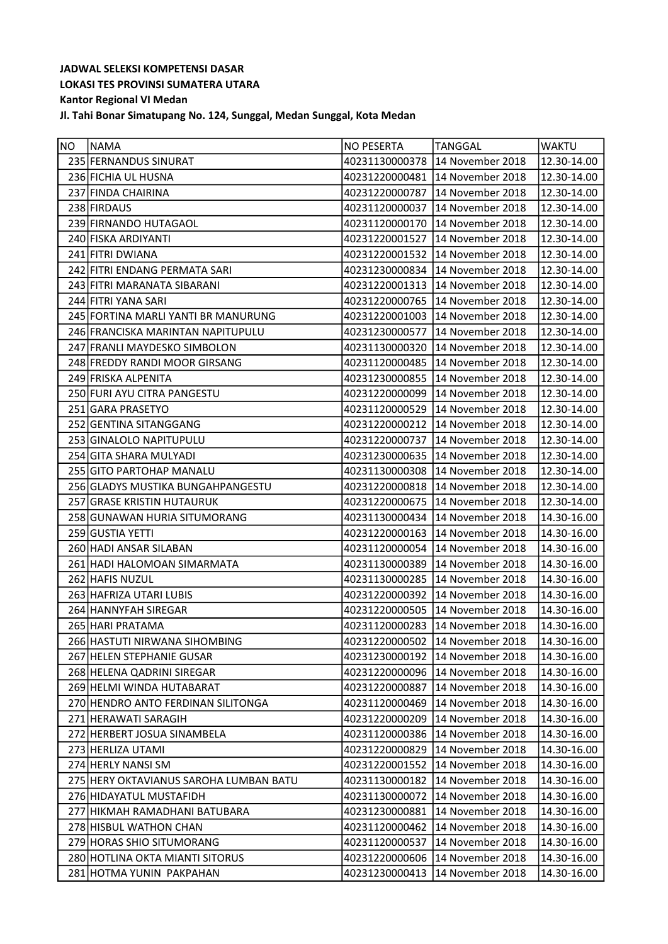| <b>NO</b> | NAMA                                   | NO PESERTA     | TANGGAL                           | <b>WAKTU</b>           |
|-----------|----------------------------------------|----------------|-----------------------------------|------------------------|
|           | 235 FERNANDUS SINURAT                  | 40231130000378 | 14 November 2018                  | 12.30-14.00            |
|           | 236 FICHIA UL HUSNA                    | 40231220000481 | 14 November 2018                  | 12.30-14.00            |
|           | 237 FINDA CHAIRINA                     | 40231220000787 | 14 November 2018                  | 12.30-14.00            |
|           | 238 FIRDAUS                            | 40231120000037 | 14 November 2018                  | 12.30-14.00            |
|           | 239 FIRNANDO HUTAGAOL                  | 40231120000170 | 14 November 2018                  | 12.30-14.00            |
|           | 240 FISKA ARDIYANTI                    | 40231220001527 | 14 November 2018                  | 12.30-14.00            |
|           | 241 FITRI DWIANA                       | 40231220001532 | 14 November 2018                  | 12.30-14.00            |
|           | 242 FITRI ENDANG PERMATA SARI          | 40231230000834 | 14 November 2018                  | 12.30-14.00            |
|           | 243 FITRI MARANATA SIBARANI            | 40231220001313 | 14 November 2018                  | 12.30-14.00            |
|           | 244 FITRI YANA SARI                    | 40231220000765 | 14 November 2018                  | 12.30-14.00            |
|           | 245 FORTINA MARLI YANTI BR MANURUNG    | 40231220001003 | 14 November 2018                  | 12.30-14.00            |
|           | 246 FRANCISKA MARINTAN NAPITUPULU      | 40231230000577 | 14 November 2018                  | 12.30-14.00            |
|           | 247 FRANLI MAYDESKO SIMBOLON           | 40231130000320 | 14 November 2018                  | 12.30-14.00            |
|           | 248 FREDDY RANDI MOOR GIRSANG          | 40231120000485 | 14 November 2018                  | 12.30-14.00            |
|           | 249 FRISKA ALPENITA                    | 40231230000855 | 14 November 2018                  | 12.30-14.00            |
|           | 250 FURI AYU CITRA PANGESTU            | 40231220000099 | 14 November 2018                  | 12.30-14.00            |
|           | 251 GARA PRASETYO                      | 40231120000529 | 14 November 2018                  | 12.30-14.00            |
|           | 252 GENTINA SITANGGANG                 |                | 40231220000212 14 November 2018   | 12.30-14.00            |
|           | 253 GINALOLO NAPITUPULU                | 40231220000737 | 14 November 2018                  | 12.30-14.00            |
|           | 254 GITA SHARA MULYADI                 | 40231230000635 | 14 November 2018                  | 12.30-14.00            |
|           | 255 GITO PARTOHAP MANALU               | 40231130000308 | 14 November 2018                  | 12.30-14.00            |
|           | 256 GLADYS MUSTIKA BUNGAHPANGESTU      | 40231220000818 | 14 November 2018                  | 12.30-14.00            |
|           | 257 GRASE KRISTIN HUTAURUK             | 40231220000675 | 14 November 2018                  | 12.30-14.00            |
|           | 258 GUNAWAN HURIA SITUMORANG           | 40231130000434 | 14 November 2018                  | 14.30-16.00            |
|           | 259 GUSTIA YETTI                       | 40231220000163 | 14 November 2018                  | 14.30-16.00            |
|           | 260 HADI ANSAR SILABAN                 | 40231120000054 | 14 November 2018                  | 14.30-16.00            |
|           | 261 HADI HALOMOAN SIMARMATA            | 40231130000389 | 14 November 2018                  | 14.30-16.00            |
|           | 262 HAFIS NUZUL                        | 40231130000285 | 14 November 2018                  | 14.30-16.00            |
|           | 263 HAFRIZA UTARI LUBIS                | 40231220000392 | 14 November 2018                  | 14.30-16.00            |
|           | 264 HANNYFAH SIREGAR                   |                | 40231220000505   14 November 2018 | 14.30-16.00            |
|           | 265 HARI PRATAMA                       |                | 40231120000283 14 November 2018   | 14.30-16.00            |
|           | 266 HASTUTI NIRWANA SIHOMBING          |                | 40231220000502 14 November 2018   | $\sqrt{14.30 - 16.00}$ |
|           | 267 HELEN STEPHANIE GUSAR              |                | 40231230000192 14 November 2018   | 14.30-16.00            |
|           | 268 HELENA QADRINI SIREGAR             | 40231220000096 | 14 November 2018                  | 14.30-16.00            |
|           | 269 HELMI WINDA HUTABARAT              | 40231220000887 | 14 November 2018                  | 14.30-16.00            |
|           | 270 HENDRO ANTO FERDINAN SILITONGA     | 40231120000469 | 14 November 2018                  | 14.30-16.00            |
|           | 271 HERAWATI SARAGIH                   | 40231220000209 | 14 November 2018                  | 14.30-16.00            |
|           | 272 HERBERT JOSUA SINAMBELA            | 40231120000386 | 14 November 2018                  | 14.30-16.00            |
|           | 273 HERLIZA UTAMI                      | 40231220000829 | 14 November 2018                  | 14.30-16.00            |
|           | 274 HERLY NANSI SM                     | 40231220001552 | 14 November 2018                  | 14.30-16.00            |
|           | 275 HERY OKTAVIANUS SAROHA LUMBAN BATU | 40231130000182 | 14 November 2018                  | 14.30-16.00            |
|           | 276 HIDAYATUL MUSTAFIDH                | 40231130000072 | 14 November 2018                  | 14.30-16.00            |
|           | 277 HIKMAH RAMADHANI BATUBARA          | 40231230000881 | 14 November 2018                  | 14.30-16.00            |
|           | 278 HISBUL WATHON CHAN                 | 40231120000462 | 14 November 2018                  | 14.30-16.00            |
|           | 279 HORAS SHIO SITUMORANG              | 40231120000537 | 14 November 2018                  | 14.30-16.00            |
|           | 280 HOTLINA OKTA MIANTI SITORUS        | 40231220000606 | 14 November 2018                  | 14.30-16.00            |
|           | 281 HOTMA YUNIN PAKPAHAN               | 40231230000413 | 14 November 2018                  | 14.30-16.00            |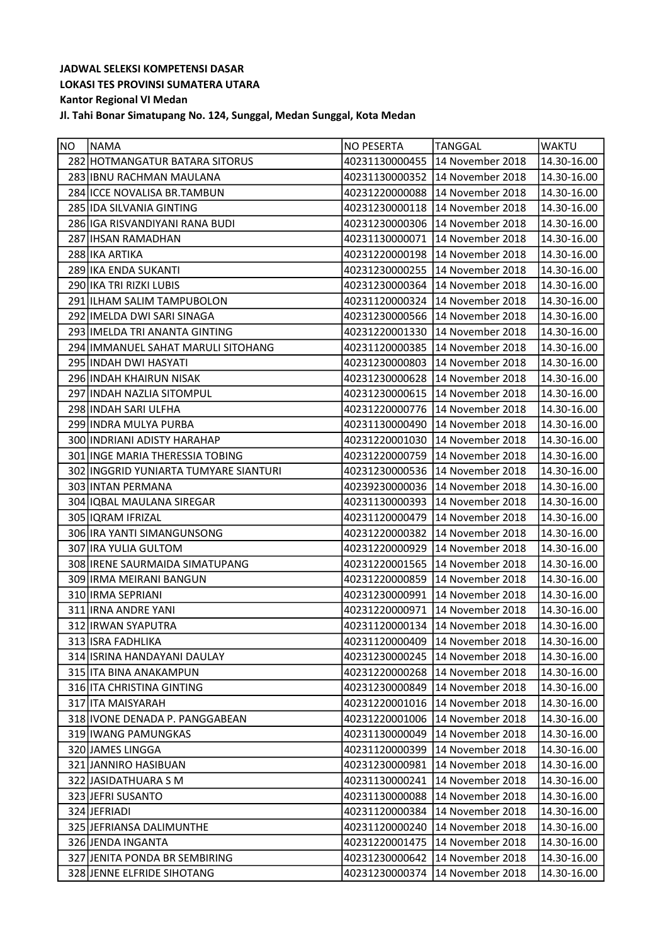| 282 HOTMANGATUR BATARA SITORUS<br>40231130000455<br>14 November 2018<br>14.30-16.00<br>283 IBNU RACHMAN MAULANA<br>40231130000352<br>14 November 2018<br>14.30-16.00<br>284 ICCE NOVALISA BR.TAMBUN<br>40231220000088<br>14 November 2018<br>14.30-16.00<br>285 IDA SILVANIA GINTING<br>14 November 2018<br>40231230000118<br>14.30-16.00<br>286 IGA RISVANDIYANI RANA BUDI<br>40231230000306<br>14 November 2018<br>14.30-16.00<br>287 IHSAN RAMADHAN<br>40231130000071<br>14 November 2018<br>14.30-16.00<br>288 IKA ARTIKA<br>14 November 2018<br>14.30-16.00<br>40231220000198<br>289 IKA ENDA SUKANTI<br>40231230000255<br>14 November 2018<br>14.30-16.00<br>290 IKA TRI RIZKI LUBIS<br>40231230000364<br>14 November 2018<br>14.30-16.00<br>291 ILHAM SALIM TAMPUBOLON<br>40231120000324<br>14 November 2018<br>14.30-16.00<br>292   IMELDA DWI SARI SINAGA<br>14 November 2018<br>14.30-16.00<br>40231230000566<br>293 IMELDA TRI ANANTA GINTING<br>40231220001330<br>14 November 2018<br>14.30-16.00<br>294 IMMANUEL SAHAT MARULI SITOHANG<br>40231120000385<br>14 November 2018<br>14.30-16.00<br>14.30-16.00<br>295 INDAH DWI HASYATI<br>40231230000803<br>14 November 2018<br>296 INDAH KHAIRUN NISAK<br>14 November 2018<br>14.30-16.00<br>40231230000628<br>297 INDAH NAZLIA SITOMPUL<br>40231230000615<br>14 November 2018<br>14.30-16.00<br>298 INDAH SARI ULFHA<br>40231220000776<br>14 November 2018<br>14.30-16.00<br>14.30-16.00<br>299 INDRA MULYA PURBA<br>40231130000490<br>14 November 2018<br>300 INDRIANI ADISTY HARAHAP<br>40231220001030<br>14 November 2018<br>14.30-16.00<br>301 INGE MARIA THERESSIA TOBING<br>40231220000759<br>14 November 2018<br>14.30-16.00<br>302 INGGRID YUNIARTA TUMYARE SIANTURI<br>14 November 2018<br>14.30-16.00<br>40231230000536<br>303 INTAN PERMANA<br>40239230000036<br>14 November 2018<br>14.30-16.00<br>304 IQBAL MAULANA SIREGAR<br>40231130000393<br>14 November 2018<br>14.30-16.00<br>305   IQRAM IFRIZAL<br>40231120000479 14 November 2018<br>14.30-16.00<br>306 IRA YANTI SIMANGUNSONG<br>40231220000382 14 November 2018<br>14.30-16.00<br>307 IRA YULIA GULTOM<br>40231220000929<br>14 November 2018<br>14.30-16.00<br>308 IRENE SAURMAIDA SIMATUPANG<br>40231220001565<br>14 November 2018<br>14.30-16.00<br>309 IRMA MEIRANI BANGUN<br>40231220000859<br>14 November 2018<br>14.30-16.00<br>310 IRMA SEPRIANI<br>40231230000991<br>14 November 2018<br>14.30-16.00<br>311 IRNA ANDRE YANI<br>40231220000971<br>14 November 2018<br>14.30-16.00<br>312 IRWAN SYAPUTRA<br>40231120000134 14 November 2018<br>14.30-16.00<br>$\sqrt{14.30 - 16.00}$<br>313 ISRA FADHLIKA<br>40231120000409 14 November 2018<br>314 ISRINA HANDAYANI DAULAY<br>40231230000245<br>14 November 2018<br>14.30-16.00<br>315 ITA BINA ANAKAMPUN<br>40231220000268<br>14 November 2018<br>14.30-16.00<br>316 ITA CHRISTINA GINTING<br>40231230000849<br>14 November 2018<br>14.30-16.00<br>317 ITA MAISYARAH<br>14 November 2018<br>14.30-16.00<br>40231220001016<br>318 IVONE DENADA P. PANGGABEAN<br>40231220001006<br>14 November 2018<br>14.30-16.00<br>319   IWANG PAMUNGKAS<br>40231130000049<br>14 November 2018<br>14.30-16.00<br>14 November 2018<br>320 JAMES LINGGA<br>40231120000399<br>14.30-16.00<br>321 JANNIRO HASIBUAN<br>14 November 2018<br>40231230000981<br>14.30-16.00<br>14 November 2018<br>322 JASIDATHUARA S M<br>40231130000241<br>14.30-16.00<br>323 JEFRI SUSANTO<br>40231130000088<br>14 November 2018<br>14.30-16.00<br>324 JEFRIADI<br>40231120000384<br>14 November 2018<br>14.30-16.00<br>14 November 2018<br>14.30-16.00<br>325 JEFRIANSA DALIMUNTHE<br>40231120000240<br>326 JENDA INGANTA<br>40231220001475<br>14 November 2018<br>14.30-16.00<br>14 November 2018<br>327 JENITA PONDA BR SEMBIRING<br>40231230000642<br>14.30-16.00<br>328 JENNE ELFRIDE SIHOTANG<br>14 November 2018<br>40231230000374<br>14.30-16.00 | NO | NAMA | <b>NO PESERTA</b> | <b>TANGGAL</b> | <b>WAKTU</b> |
|------------------------------------------------------------------------------------------------------------------------------------------------------------------------------------------------------------------------------------------------------------------------------------------------------------------------------------------------------------------------------------------------------------------------------------------------------------------------------------------------------------------------------------------------------------------------------------------------------------------------------------------------------------------------------------------------------------------------------------------------------------------------------------------------------------------------------------------------------------------------------------------------------------------------------------------------------------------------------------------------------------------------------------------------------------------------------------------------------------------------------------------------------------------------------------------------------------------------------------------------------------------------------------------------------------------------------------------------------------------------------------------------------------------------------------------------------------------------------------------------------------------------------------------------------------------------------------------------------------------------------------------------------------------------------------------------------------------------------------------------------------------------------------------------------------------------------------------------------------------------------------------------------------------------------------------------------------------------------------------------------------------------------------------------------------------------------------------------------------------------------------------------------------------------------------------------------------------------------------------------------------------------------------------------------------------------------------------------------------------------------------------------------------------------------------------------------------------------------------------------------------------------------------------------------------------------------------------------------------------------------------------------------------------------------------------------------------------------------------------------------------------------------------------------------------------------------------------------------------------------------------------------------------------------------------------------------------------------------------------------------------------------------------------------------------------------------------------------------------------------------------------------------------------------------------------------------------------------------------------------------------------------------------------------------------------------------------------------------------------------------------------------------------------------------------------------------------------------------------------------------------------------------------------------------------------------------------------------------------------------------------------------------------------------------------------------------------------------------------------------------------------------------------------------------------------------------------------------------------------------------------------------------------------|----|------|-------------------|----------------|--------------|
|                                                                                                                                                                                                                                                                                                                                                                                                                                                                                                                                                                                                                                                                                                                                                                                                                                                                                                                                                                                                                                                                                                                                                                                                                                                                                                                                                                                                                                                                                                                                                                                                                                                                                                                                                                                                                                                                                                                                                                                                                                                                                                                                                                                                                                                                                                                                                                                                                                                                                                                                                                                                                                                                                                                                                                                                                                                                                                                                                                                                                                                                                                                                                                                                                                                                                                                                                                                                                                                                                                                                                                                                                                                                                                                                                                                                                                                                                                                  |    |      |                   |                |              |
|                                                                                                                                                                                                                                                                                                                                                                                                                                                                                                                                                                                                                                                                                                                                                                                                                                                                                                                                                                                                                                                                                                                                                                                                                                                                                                                                                                                                                                                                                                                                                                                                                                                                                                                                                                                                                                                                                                                                                                                                                                                                                                                                                                                                                                                                                                                                                                                                                                                                                                                                                                                                                                                                                                                                                                                                                                                                                                                                                                                                                                                                                                                                                                                                                                                                                                                                                                                                                                                                                                                                                                                                                                                                                                                                                                                                                                                                                                                  |    |      |                   |                |              |
|                                                                                                                                                                                                                                                                                                                                                                                                                                                                                                                                                                                                                                                                                                                                                                                                                                                                                                                                                                                                                                                                                                                                                                                                                                                                                                                                                                                                                                                                                                                                                                                                                                                                                                                                                                                                                                                                                                                                                                                                                                                                                                                                                                                                                                                                                                                                                                                                                                                                                                                                                                                                                                                                                                                                                                                                                                                                                                                                                                                                                                                                                                                                                                                                                                                                                                                                                                                                                                                                                                                                                                                                                                                                                                                                                                                                                                                                                                                  |    |      |                   |                |              |
|                                                                                                                                                                                                                                                                                                                                                                                                                                                                                                                                                                                                                                                                                                                                                                                                                                                                                                                                                                                                                                                                                                                                                                                                                                                                                                                                                                                                                                                                                                                                                                                                                                                                                                                                                                                                                                                                                                                                                                                                                                                                                                                                                                                                                                                                                                                                                                                                                                                                                                                                                                                                                                                                                                                                                                                                                                                                                                                                                                                                                                                                                                                                                                                                                                                                                                                                                                                                                                                                                                                                                                                                                                                                                                                                                                                                                                                                                                                  |    |      |                   |                |              |
|                                                                                                                                                                                                                                                                                                                                                                                                                                                                                                                                                                                                                                                                                                                                                                                                                                                                                                                                                                                                                                                                                                                                                                                                                                                                                                                                                                                                                                                                                                                                                                                                                                                                                                                                                                                                                                                                                                                                                                                                                                                                                                                                                                                                                                                                                                                                                                                                                                                                                                                                                                                                                                                                                                                                                                                                                                                                                                                                                                                                                                                                                                                                                                                                                                                                                                                                                                                                                                                                                                                                                                                                                                                                                                                                                                                                                                                                                                                  |    |      |                   |                |              |
|                                                                                                                                                                                                                                                                                                                                                                                                                                                                                                                                                                                                                                                                                                                                                                                                                                                                                                                                                                                                                                                                                                                                                                                                                                                                                                                                                                                                                                                                                                                                                                                                                                                                                                                                                                                                                                                                                                                                                                                                                                                                                                                                                                                                                                                                                                                                                                                                                                                                                                                                                                                                                                                                                                                                                                                                                                                                                                                                                                                                                                                                                                                                                                                                                                                                                                                                                                                                                                                                                                                                                                                                                                                                                                                                                                                                                                                                                                                  |    |      |                   |                |              |
|                                                                                                                                                                                                                                                                                                                                                                                                                                                                                                                                                                                                                                                                                                                                                                                                                                                                                                                                                                                                                                                                                                                                                                                                                                                                                                                                                                                                                                                                                                                                                                                                                                                                                                                                                                                                                                                                                                                                                                                                                                                                                                                                                                                                                                                                                                                                                                                                                                                                                                                                                                                                                                                                                                                                                                                                                                                                                                                                                                                                                                                                                                                                                                                                                                                                                                                                                                                                                                                                                                                                                                                                                                                                                                                                                                                                                                                                                                                  |    |      |                   |                |              |
|                                                                                                                                                                                                                                                                                                                                                                                                                                                                                                                                                                                                                                                                                                                                                                                                                                                                                                                                                                                                                                                                                                                                                                                                                                                                                                                                                                                                                                                                                                                                                                                                                                                                                                                                                                                                                                                                                                                                                                                                                                                                                                                                                                                                                                                                                                                                                                                                                                                                                                                                                                                                                                                                                                                                                                                                                                                                                                                                                                                                                                                                                                                                                                                                                                                                                                                                                                                                                                                                                                                                                                                                                                                                                                                                                                                                                                                                                                                  |    |      |                   |                |              |
|                                                                                                                                                                                                                                                                                                                                                                                                                                                                                                                                                                                                                                                                                                                                                                                                                                                                                                                                                                                                                                                                                                                                                                                                                                                                                                                                                                                                                                                                                                                                                                                                                                                                                                                                                                                                                                                                                                                                                                                                                                                                                                                                                                                                                                                                                                                                                                                                                                                                                                                                                                                                                                                                                                                                                                                                                                                                                                                                                                                                                                                                                                                                                                                                                                                                                                                                                                                                                                                                                                                                                                                                                                                                                                                                                                                                                                                                                                                  |    |      |                   |                |              |
|                                                                                                                                                                                                                                                                                                                                                                                                                                                                                                                                                                                                                                                                                                                                                                                                                                                                                                                                                                                                                                                                                                                                                                                                                                                                                                                                                                                                                                                                                                                                                                                                                                                                                                                                                                                                                                                                                                                                                                                                                                                                                                                                                                                                                                                                                                                                                                                                                                                                                                                                                                                                                                                                                                                                                                                                                                                                                                                                                                                                                                                                                                                                                                                                                                                                                                                                                                                                                                                                                                                                                                                                                                                                                                                                                                                                                                                                                                                  |    |      |                   |                |              |
|                                                                                                                                                                                                                                                                                                                                                                                                                                                                                                                                                                                                                                                                                                                                                                                                                                                                                                                                                                                                                                                                                                                                                                                                                                                                                                                                                                                                                                                                                                                                                                                                                                                                                                                                                                                                                                                                                                                                                                                                                                                                                                                                                                                                                                                                                                                                                                                                                                                                                                                                                                                                                                                                                                                                                                                                                                                                                                                                                                                                                                                                                                                                                                                                                                                                                                                                                                                                                                                                                                                                                                                                                                                                                                                                                                                                                                                                                                                  |    |      |                   |                |              |
|                                                                                                                                                                                                                                                                                                                                                                                                                                                                                                                                                                                                                                                                                                                                                                                                                                                                                                                                                                                                                                                                                                                                                                                                                                                                                                                                                                                                                                                                                                                                                                                                                                                                                                                                                                                                                                                                                                                                                                                                                                                                                                                                                                                                                                                                                                                                                                                                                                                                                                                                                                                                                                                                                                                                                                                                                                                                                                                                                                                                                                                                                                                                                                                                                                                                                                                                                                                                                                                                                                                                                                                                                                                                                                                                                                                                                                                                                                                  |    |      |                   |                |              |
|                                                                                                                                                                                                                                                                                                                                                                                                                                                                                                                                                                                                                                                                                                                                                                                                                                                                                                                                                                                                                                                                                                                                                                                                                                                                                                                                                                                                                                                                                                                                                                                                                                                                                                                                                                                                                                                                                                                                                                                                                                                                                                                                                                                                                                                                                                                                                                                                                                                                                                                                                                                                                                                                                                                                                                                                                                                                                                                                                                                                                                                                                                                                                                                                                                                                                                                                                                                                                                                                                                                                                                                                                                                                                                                                                                                                                                                                                                                  |    |      |                   |                |              |
|                                                                                                                                                                                                                                                                                                                                                                                                                                                                                                                                                                                                                                                                                                                                                                                                                                                                                                                                                                                                                                                                                                                                                                                                                                                                                                                                                                                                                                                                                                                                                                                                                                                                                                                                                                                                                                                                                                                                                                                                                                                                                                                                                                                                                                                                                                                                                                                                                                                                                                                                                                                                                                                                                                                                                                                                                                                                                                                                                                                                                                                                                                                                                                                                                                                                                                                                                                                                                                                                                                                                                                                                                                                                                                                                                                                                                                                                                                                  |    |      |                   |                |              |
|                                                                                                                                                                                                                                                                                                                                                                                                                                                                                                                                                                                                                                                                                                                                                                                                                                                                                                                                                                                                                                                                                                                                                                                                                                                                                                                                                                                                                                                                                                                                                                                                                                                                                                                                                                                                                                                                                                                                                                                                                                                                                                                                                                                                                                                                                                                                                                                                                                                                                                                                                                                                                                                                                                                                                                                                                                                                                                                                                                                                                                                                                                                                                                                                                                                                                                                                                                                                                                                                                                                                                                                                                                                                                                                                                                                                                                                                                                                  |    |      |                   |                |              |
|                                                                                                                                                                                                                                                                                                                                                                                                                                                                                                                                                                                                                                                                                                                                                                                                                                                                                                                                                                                                                                                                                                                                                                                                                                                                                                                                                                                                                                                                                                                                                                                                                                                                                                                                                                                                                                                                                                                                                                                                                                                                                                                                                                                                                                                                                                                                                                                                                                                                                                                                                                                                                                                                                                                                                                                                                                                                                                                                                                                                                                                                                                                                                                                                                                                                                                                                                                                                                                                                                                                                                                                                                                                                                                                                                                                                                                                                                                                  |    |      |                   |                |              |
|                                                                                                                                                                                                                                                                                                                                                                                                                                                                                                                                                                                                                                                                                                                                                                                                                                                                                                                                                                                                                                                                                                                                                                                                                                                                                                                                                                                                                                                                                                                                                                                                                                                                                                                                                                                                                                                                                                                                                                                                                                                                                                                                                                                                                                                                                                                                                                                                                                                                                                                                                                                                                                                                                                                                                                                                                                                                                                                                                                                                                                                                                                                                                                                                                                                                                                                                                                                                                                                                                                                                                                                                                                                                                                                                                                                                                                                                                                                  |    |      |                   |                |              |
|                                                                                                                                                                                                                                                                                                                                                                                                                                                                                                                                                                                                                                                                                                                                                                                                                                                                                                                                                                                                                                                                                                                                                                                                                                                                                                                                                                                                                                                                                                                                                                                                                                                                                                                                                                                                                                                                                                                                                                                                                                                                                                                                                                                                                                                                                                                                                                                                                                                                                                                                                                                                                                                                                                                                                                                                                                                                                                                                                                                                                                                                                                                                                                                                                                                                                                                                                                                                                                                                                                                                                                                                                                                                                                                                                                                                                                                                                                                  |    |      |                   |                |              |
|                                                                                                                                                                                                                                                                                                                                                                                                                                                                                                                                                                                                                                                                                                                                                                                                                                                                                                                                                                                                                                                                                                                                                                                                                                                                                                                                                                                                                                                                                                                                                                                                                                                                                                                                                                                                                                                                                                                                                                                                                                                                                                                                                                                                                                                                                                                                                                                                                                                                                                                                                                                                                                                                                                                                                                                                                                                                                                                                                                                                                                                                                                                                                                                                                                                                                                                                                                                                                                                                                                                                                                                                                                                                                                                                                                                                                                                                                                                  |    |      |                   |                |              |
|                                                                                                                                                                                                                                                                                                                                                                                                                                                                                                                                                                                                                                                                                                                                                                                                                                                                                                                                                                                                                                                                                                                                                                                                                                                                                                                                                                                                                                                                                                                                                                                                                                                                                                                                                                                                                                                                                                                                                                                                                                                                                                                                                                                                                                                                                                                                                                                                                                                                                                                                                                                                                                                                                                                                                                                                                                                                                                                                                                                                                                                                                                                                                                                                                                                                                                                                                                                                                                                                                                                                                                                                                                                                                                                                                                                                                                                                                                                  |    |      |                   |                |              |
|                                                                                                                                                                                                                                                                                                                                                                                                                                                                                                                                                                                                                                                                                                                                                                                                                                                                                                                                                                                                                                                                                                                                                                                                                                                                                                                                                                                                                                                                                                                                                                                                                                                                                                                                                                                                                                                                                                                                                                                                                                                                                                                                                                                                                                                                                                                                                                                                                                                                                                                                                                                                                                                                                                                                                                                                                                                                                                                                                                                                                                                                                                                                                                                                                                                                                                                                                                                                                                                                                                                                                                                                                                                                                                                                                                                                                                                                                                                  |    |      |                   |                |              |
|                                                                                                                                                                                                                                                                                                                                                                                                                                                                                                                                                                                                                                                                                                                                                                                                                                                                                                                                                                                                                                                                                                                                                                                                                                                                                                                                                                                                                                                                                                                                                                                                                                                                                                                                                                                                                                                                                                                                                                                                                                                                                                                                                                                                                                                                                                                                                                                                                                                                                                                                                                                                                                                                                                                                                                                                                                                                                                                                                                                                                                                                                                                                                                                                                                                                                                                                                                                                                                                                                                                                                                                                                                                                                                                                                                                                                                                                                                                  |    |      |                   |                |              |
|                                                                                                                                                                                                                                                                                                                                                                                                                                                                                                                                                                                                                                                                                                                                                                                                                                                                                                                                                                                                                                                                                                                                                                                                                                                                                                                                                                                                                                                                                                                                                                                                                                                                                                                                                                                                                                                                                                                                                                                                                                                                                                                                                                                                                                                                                                                                                                                                                                                                                                                                                                                                                                                                                                                                                                                                                                                                                                                                                                                                                                                                                                                                                                                                                                                                                                                                                                                                                                                                                                                                                                                                                                                                                                                                                                                                                                                                                                                  |    |      |                   |                |              |
|                                                                                                                                                                                                                                                                                                                                                                                                                                                                                                                                                                                                                                                                                                                                                                                                                                                                                                                                                                                                                                                                                                                                                                                                                                                                                                                                                                                                                                                                                                                                                                                                                                                                                                                                                                                                                                                                                                                                                                                                                                                                                                                                                                                                                                                                                                                                                                                                                                                                                                                                                                                                                                                                                                                                                                                                                                                                                                                                                                                                                                                                                                                                                                                                                                                                                                                                                                                                                                                                                                                                                                                                                                                                                                                                                                                                                                                                                                                  |    |      |                   |                |              |
|                                                                                                                                                                                                                                                                                                                                                                                                                                                                                                                                                                                                                                                                                                                                                                                                                                                                                                                                                                                                                                                                                                                                                                                                                                                                                                                                                                                                                                                                                                                                                                                                                                                                                                                                                                                                                                                                                                                                                                                                                                                                                                                                                                                                                                                                                                                                                                                                                                                                                                                                                                                                                                                                                                                                                                                                                                                                                                                                                                                                                                                                                                                                                                                                                                                                                                                                                                                                                                                                                                                                                                                                                                                                                                                                                                                                                                                                                                                  |    |      |                   |                |              |
|                                                                                                                                                                                                                                                                                                                                                                                                                                                                                                                                                                                                                                                                                                                                                                                                                                                                                                                                                                                                                                                                                                                                                                                                                                                                                                                                                                                                                                                                                                                                                                                                                                                                                                                                                                                                                                                                                                                                                                                                                                                                                                                                                                                                                                                                                                                                                                                                                                                                                                                                                                                                                                                                                                                                                                                                                                                                                                                                                                                                                                                                                                                                                                                                                                                                                                                                                                                                                                                                                                                                                                                                                                                                                                                                                                                                                                                                                                                  |    |      |                   |                |              |
|                                                                                                                                                                                                                                                                                                                                                                                                                                                                                                                                                                                                                                                                                                                                                                                                                                                                                                                                                                                                                                                                                                                                                                                                                                                                                                                                                                                                                                                                                                                                                                                                                                                                                                                                                                                                                                                                                                                                                                                                                                                                                                                                                                                                                                                                                                                                                                                                                                                                                                                                                                                                                                                                                                                                                                                                                                                                                                                                                                                                                                                                                                                                                                                                                                                                                                                                                                                                                                                                                                                                                                                                                                                                                                                                                                                                                                                                                                                  |    |      |                   |                |              |
|                                                                                                                                                                                                                                                                                                                                                                                                                                                                                                                                                                                                                                                                                                                                                                                                                                                                                                                                                                                                                                                                                                                                                                                                                                                                                                                                                                                                                                                                                                                                                                                                                                                                                                                                                                                                                                                                                                                                                                                                                                                                                                                                                                                                                                                                                                                                                                                                                                                                                                                                                                                                                                                                                                                                                                                                                                                                                                                                                                                                                                                                                                                                                                                                                                                                                                                                                                                                                                                                                                                                                                                                                                                                                                                                                                                                                                                                                                                  |    |      |                   |                |              |
|                                                                                                                                                                                                                                                                                                                                                                                                                                                                                                                                                                                                                                                                                                                                                                                                                                                                                                                                                                                                                                                                                                                                                                                                                                                                                                                                                                                                                                                                                                                                                                                                                                                                                                                                                                                                                                                                                                                                                                                                                                                                                                                                                                                                                                                                                                                                                                                                                                                                                                                                                                                                                                                                                                                                                                                                                                                                                                                                                                                                                                                                                                                                                                                                                                                                                                                                                                                                                                                                                                                                                                                                                                                                                                                                                                                                                                                                                                                  |    |      |                   |                |              |
|                                                                                                                                                                                                                                                                                                                                                                                                                                                                                                                                                                                                                                                                                                                                                                                                                                                                                                                                                                                                                                                                                                                                                                                                                                                                                                                                                                                                                                                                                                                                                                                                                                                                                                                                                                                                                                                                                                                                                                                                                                                                                                                                                                                                                                                                                                                                                                                                                                                                                                                                                                                                                                                                                                                                                                                                                                                                                                                                                                                                                                                                                                                                                                                                                                                                                                                                                                                                                                                                                                                                                                                                                                                                                                                                                                                                                                                                                                                  |    |      |                   |                |              |
|                                                                                                                                                                                                                                                                                                                                                                                                                                                                                                                                                                                                                                                                                                                                                                                                                                                                                                                                                                                                                                                                                                                                                                                                                                                                                                                                                                                                                                                                                                                                                                                                                                                                                                                                                                                                                                                                                                                                                                                                                                                                                                                                                                                                                                                                                                                                                                                                                                                                                                                                                                                                                                                                                                                                                                                                                                                                                                                                                                                                                                                                                                                                                                                                                                                                                                                                                                                                                                                                                                                                                                                                                                                                                                                                                                                                                                                                                                                  |    |      |                   |                |              |
|                                                                                                                                                                                                                                                                                                                                                                                                                                                                                                                                                                                                                                                                                                                                                                                                                                                                                                                                                                                                                                                                                                                                                                                                                                                                                                                                                                                                                                                                                                                                                                                                                                                                                                                                                                                                                                                                                                                                                                                                                                                                                                                                                                                                                                                                                                                                                                                                                                                                                                                                                                                                                                                                                                                                                                                                                                                                                                                                                                                                                                                                                                                                                                                                                                                                                                                                                                                                                                                                                                                                                                                                                                                                                                                                                                                                                                                                                                                  |    |      |                   |                |              |
|                                                                                                                                                                                                                                                                                                                                                                                                                                                                                                                                                                                                                                                                                                                                                                                                                                                                                                                                                                                                                                                                                                                                                                                                                                                                                                                                                                                                                                                                                                                                                                                                                                                                                                                                                                                                                                                                                                                                                                                                                                                                                                                                                                                                                                                                                                                                                                                                                                                                                                                                                                                                                                                                                                                                                                                                                                                                                                                                                                                                                                                                                                                                                                                                                                                                                                                                                                                                                                                                                                                                                                                                                                                                                                                                                                                                                                                                                                                  |    |      |                   |                |              |
|                                                                                                                                                                                                                                                                                                                                                                                                                                                                                                                                                                                                                                                                                                                                                                                                                                                                                                                                                                                                                                                                                                                                                                                                                                                                                                                                                                                                                                                                                                                                                                                                                                                                                                                                                                                                                                                                                                                                                                                                                                                                                                                                                                                                                                                                                                                                                                                                                                                                                                                                                                                                                                                                                                                                                                                                                                                                                                                                                                                                                                                                                                                                                                                                                                                                                                                                                                                                                                                                                                                                                                                                                                                                                                                                                                                                                                                                                                                  |    |      |                   |                |              |
|                                                                                                                                                                                                                                                                                                                                                                                                                                                                                                                                                                                                                                                                                                                                                                                                                                                                                                                                                                                                                                                                                                                                                                                                                                                                                                                                                                                                                                                                                                                                                                                                                                                                                                                                                                                                                                                                                                                                                                                                                                                                                                                                                                                                                                                                                                                                                                                                                                                                                                                                                                                                                                                                                                                                                                                                                                                                                                                                                                                                                                                                                                                                                                                                                                                                                                                                                                                                                                                                                                                                                                                                                                                                                                                                                                                                                                                                                                                  |    |      |                   |                |              |
|                                                                                                                                                                                                                                                                                                                                                                                                                                                                                                                                                                                                                                                                                                                                                                                                                                                                                                                                                                                                                                                                                                                                                                                                                                                                                                                                                                                                                                                                                                                                                                                                                                                                                                                                                                                                                                                                                                                                                                                                                                                                                                                                                                                                                                                                                                                                                                                                                                                                                                                                                                                                                                                                                                                                                                                                                                                                                                                                                                                                                                                                                                                                                                                                                                                                                                                                                                                                                                                                                                                                                                                                                                                                                                                                                                                                                                                                                                                  |    |      |                   |                |              |
|                                                                                                                                                                                                                                                                                                                                                                                                                                                                                                                                                                                                                                                                                                                                                                                                                                                                                                                                                                                                                                                                                                                                                                                                                                                                                                                                                                                                                                                                                                                                                                                                                                                                                                                                                                                                                                                                                                                                                                                                                                                                                                                                                                                                                                                                                                                                                                                                                                                                                                                                                                                                                                                                                                                                                                                                                                                                                                                                                                                                                                                                                                                                                                                                                                                                                                                                                                                                                                                                                                                                                                                                                                                                                                                                                                                                                                                                                                                  |    |      |                   |                |              |
|                                                                                                                                                                                                                                                                                                                                                                                                                                                                                                                                                                                                                                                                                                                                                                                                                                                                                                                                                                                                                                                                                                                                                                                                                                                                                                                                                                                                                                                                                                                                                                                                                                                                                                                                                                                                                                                                                                                                                                                                                                                                                                                                                                                                                                                                                                                                                                                                                                                                                                                                                                                                                                                                                                                                                                                                                                                                                                                                                                                                                                                                                                                                                                                                                                                                                                                                                                                                                                                                                                                                                                                                                                                                                                                                                                                                                                                                                                                  |    |      |                   |                |              |
|                                                                                                                                                                                                                                                                                                                                                                                                                                                                                                                                                                                                                                                                                                                                                                                                                                                                                                                                                                                                                                                                                                                                                                                                                                                                                                                                                                                                                                                                                                                                                                                                                                                                                                                                                                                                                                                                                                                                                                                                                                                                                                                                                                                                                                                                                                                                                                                                                                                                                                                                                                                                                                                                                                                                                                                                                                                                                                                                                                                                                                                                                                                                                                                                                                                                                                                                                                                                                                                                                                                                                                                                                                                                                                                                                                                                                                                                                                                  |    |      |                   |                |              |
|                                                                                                                                                                                                                                                                                                                                                                                                                                                                                                                                                                                                                                                                                                                                                                                                                                                                                                                                                                                                                                                                                                                                                                                                                                                                                                                                                                                                                                                                                                                                                                                                                                                                                                                                                                                                                                                                                                                                                                                                                                                                                                                                                                                                                                                                                                                                                                                                                                                                                                                                                                                                                                                                                                                                                                                                                                                                                                                                                                                                                                                                                                                                                                                                                                                                                                                                                                                                                                                                                                                                                                                                                                                                                                                                                                                                                                                                                                                  |    |      |                   |                |              |
|                                                                                                                                                                                                                                                                                                                                                                                                                                                                                                                                                                                                                                                                                                                                                                                                                                                                                                                                                                                                                                                                                                                                                                                                                                                                                                                                                                                                                                                                                                                                                                                                                                                                                                                                                                                                                                                                                                                                                                                                                                                                                                                                                                                                                                                                                                                                                                                                                                                                                                                                                                                                                                                                                                                                                                                                                                                                                                                                                                                                                                                                                                                                                                                                                                                                                                                                                                                                                                                                                                                                                                                                                                                                                                                                                                                                                                                                                                                  |    |      |                   |                |              |
|                                                                                                                                                                                                                                                                                                                                                                                                                                                                                                                                                                                                                                                                                                                                                                                                                                                                                                                                                                                                                                                                                                                                                                                                                                                                                                                                                                                                                                                                                                                                                                                                                                                                                                                                                                                                                                                                                                                                                                                                                                                                                                                                                                                                                                                                                                                                                                                                                                                                                                                                                                                                                                                                                                                                                                                                                                                                                                                                                                                                                                                                                                                                                                                                                                                                                                                                                                                                                                                                                                                                                                                                                                                                                                                                                                                                                                                                                                                  |    |      |                   |                |              |
|                                                                                                                                                                                                                                                                                                                                                                                                                                                                                                                                                                                                                                                                                                                                                                                                                                                                                                                                                                                                                                                                                                                                                                                                                                                                                                                                                                                                                                                                                                                                                                                                                                                                                                                                                                                                                                                                                                                                                                                                                                                                                                                                                                                                                                                                                                                                                                                                                                                                                                                                                                                                                                                                                                                                                                                                                                                                                                                                                                                                                                                                                                                                                                                                                                                                                                                                                                                                                                                                                                                                                                                                                                                                                                                                                                                                                                                                                                                  |    |      |                   |                |              |
|                                                                                                                                                                                                                                                                                                                                                                                                                                                                                                                                                                                                                                                                                                                                                                                                                                                                                                                                                                                                                                                                                                                                                                                                                                                                                                                                                                                                                                                                                                                                                                                                                                                                                                                                                                                                                                                                                                                                                                                                                                                                                                                                                                                                                                                                                                                                                                                                                                                                                                                                                                                                                                                                                                                                                                                                                                                                                                                                                                                                                                                                                                                                                                                                                                                                                                                                                                                                                                                                                                                                                                                                                                                                                                                                                                                                                                                                                                                  |    |      |                   |                |              |
|                                                                                                                                                                                                                                                                                                                                                                                                                                                                                                                                                                                                                                                                                                                                                                                                                                                                                                                                                                                                                                                                                                                                                                                                                                                                                                                                                                                                                                                                                                                                                                                                                                                                                                                                                                                                                                                                                                                                                                                                                                                                                                                                                                                                                                                                                                                                                                                                                                                                                                                                                                                                                                                                                                                                                                                                                                                                                                                                                                                                                                                                                                                                                                                                                                                                                                                                                                                                                                                                                                                                                                                                                                                                                                                                                                                                                                                                                                                  |    |      |                   |                |              |
|                                                                                                                                                                                                                                                                                                                                                                                                                                                                                                                                                                                                                                                                                                                                                                                                                                                                                                                                                                                                                                                                                                                                                                                                                                                                                                                                                                                                                                                                                                                                                                                                                                                                                                                                                                                                                                                                                                                                                                                                                                                                                                                                                                                                                                                                                                                                                                                                                                                                                                                                                                                                                                                                                                                                                                                                                                                                                                                                                                                                                                                                                                                                                                                                                                                                                                                                                                                                                                                                                                                                                                                                                                                                                                                                                                                                                                                                                                                  |    |      |                   |                |              |
|                                                                                                                                                                                                                                                                                                                                                                                                                                                                                                                                                                                                                                                                                                                                                                                                                                                                                                                                                                                                                                                                                                                                                                                                                                                                                                                                                                                                                                                                                                                                                                                                                                                                                                                                                                                                                                                                                                                                                                                                                                                                                                                                                                                                                                                                                                                                                                                                                                                                                                                                                                                                                                                                                                                                                                                                                                                                                                                                                                                                                                                                                                                                                                                                                                                                                                                                                                                                                                                                                                                                                                                                                                                                                                                                                                                                                                                                                                                  |    |      |                   |                |              |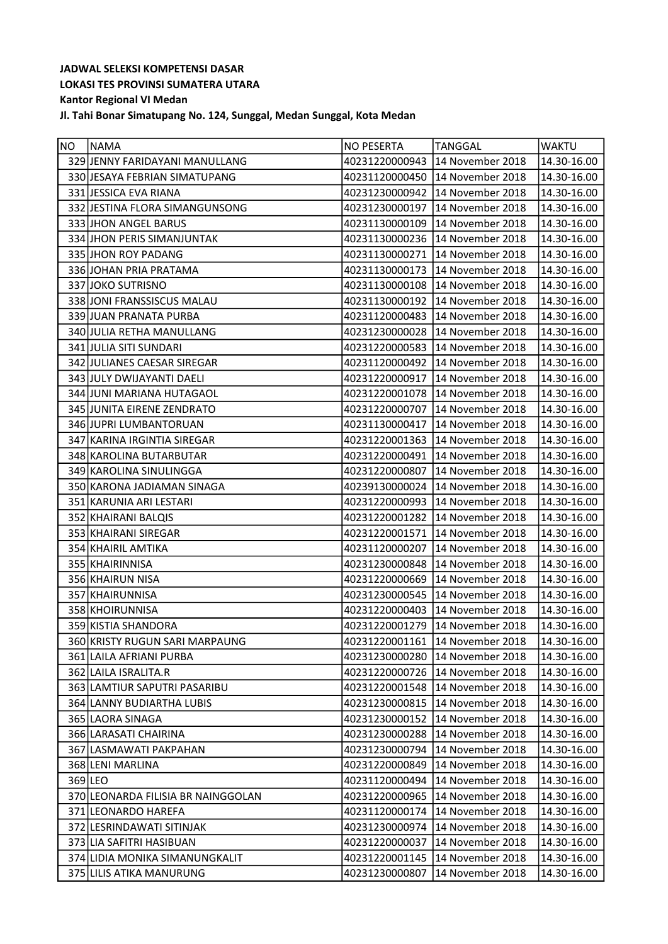| NO. | <b>NAMA</b>                        | <b>NO PESERTA</b> | TANGGAL                         | <b>WAKTU</b> |
|-----|------------------------------------|-------------------|---------------------------------|--------------|
|     | 329 JENNY FARIDAYANI MANULLANG     | 40231220000943    | 14 November 2018                | 14.30-16.00  |
|     | 330 JESAYA FEBRIAN SIMATUPANG      | 40231120000450    | 14 November 2018                | 14.30-16.00  |
|     | 331 JESSICA EVA RIANA              | 40231230000942    | 14 November 2018                | 14.30-16.00  |
|     | 332 JESTINA FLORA SIMANGUNSONG     | 40231230000197    | 14 November 2018                | 14.30-16.00  |
|     | 333 JHON ANGEL BARUS               | 40231130000109    | 14 November 2018                | 14.30-16.00  |
|     | 334 JHON PERIS SIMANJUNTAK         | 40231130000236    | 14 November 2018                | 14.30-16.00  |
|     | 335 JHON ROY PADANG                | 40231130000271    | 14 November 2018                | 14.30-16.00  |
|     | 336 JOHAN PRIA PRATAMA             | 40231130000173    | 14 November 2018                | 14.30-16.00  |
|     | 337 JOKO SUTRISNO                  | 40231130000108    | 14 November 2018                | 14.30-16.00  |
|     | 338 JONI FRANSSISCUS MALAU         | 40231130000192    | 14 November 2018                | 14.30-16.00  |
|     | 339 JUAN PRANATA PURBA             | 40231120000483    | 14 November 2018                | 14.30-16.00  |
|     | 340 JULIA RETHA MANULLANG          | 40231230000028    | 14 November 2018                | 14.30-16.00  |
|     | 341 JULIA SITI SUNDARI             | 40231220000583    | 14 November 2018                | 14.30-16.00  |
|     | 342 JULIANES CAESAR SIREGAR        |                   | 40231120000492 14 November 2018 | 14.30-16.00  |
|     | 343 JULY DWIJAYANTI DAELI          | 40231220000917    | 14 November 2018                | 14.30-16.00  |
|     | 344 JUNI MARIANA HUTAGAOL          | 40231220001078    | 14 November 2018                | 14.30-16.00  |
|     | 345 JUNITA EIRENE ZENDRATO         | 40231220000707    | 14 November 2018                | 14.30-16.00  |
|     | 346 JUPRI LUMBANTORUAN             | 40231130000417    | 14 November 2018                | 14.30-16.00  |
|     | 347 KARINA IRGINTIA SIREGAR        | 40231220001363    | 14 November 2018                | 14.30-16.00  |
|     | 348 KAROLINA BUTARBUTAR            | 40231220000491    | 14 November 2018                | 14.30-16.00  |
|     | 349 KAROLINA SINULINGGA            | 40231220000807    | 14 November 2018                | 14.30-16.00  |
|     | 350 KARONA JADIAMAN SINAGA         | 40239130000024    | 14 November 2018                | 14.30-16.00  |
|     | 351 KARUNIA ARI LESTARI            | 40231220000993    | 14 November 2018                | 14.30-16.00  |
|     | 352 KHAIRANI BALQIS                |                   | 40231220001282 14 November 2018 | 14.30-16.00  |
|     | 353 KHAIRANI SIREGAR               | 40231220001571    | 14 November 2018                | 14.30-16.00  |
|     | 354 KHAIRIL AMTIKA                 | 40231120000207    | 14 November 2018                | 14.30-16.00  |
|     | 355 KHAIRINNISA                    | 40231230000848    | 14 November 2018                | 14.30-16.00  |
|     | 356 KHAIRUN NISA                   | 40231220000669    | 14 November 2018                | 14.30-16.00  |
|     | 357 KHAIRUNNISA                    | 40231230000545    | 14 November 2018                | 14.30-16.00  |
|     | 358 KHOIRUNNISA                    | 40231220000403    | 14 November 2018                | 14.30-16.00  |
|     | 359 KISTIA SHANDORA                |                   | 40231220001279 14 November 2018 | 14.30-16.00  |
|     | 360 KRISTY RUGUN SARI MARPAUNG     |                   | 40231220001161 14 November 2018 | 14.30-16.00  |
|     | 361 LAILA AFRIANI PURBA            | 40231230000280    | 14 November 2018                | 14.30-16.00  |
|     | 362 LAILA ISRALITA.R               | 40231220000726    | 14 November 2018                | 14.30-16.00  |
|     | 363 LAMTIUR SAPUTRI PASARIBU       | 40231220001548    | 14 November 2018                | 14.30-16.00  |
|     | 364 LANNY BUDIARTHA LUBIS          | 40231230000815    | 14 November 2018                | 14.30-16.00  |
|     | 365 LAORA SINAGA                   | 40231230000152    | 14 November 2018                | 14.30-16.00  |
|     | 366 LARASATI CHAIRINA              | 40231230000288    | 14 November 2018                | 14.30-16.00  |
|     | 367 LASMAWATI PAKPAHAN             | 40231230000794    | 14 November 2018                | 14.30-16.00  |
|     | 368 LENI MARLINA                   | 40231220000849    | 14 November 2018                | 14.30-16.00  |
|     | 369 LEO                            | 40231120000494    | 14 November 2018                | 14.30-16.00  |
|     | 370 LEONARDA FILISIA BR NAINGGOLAN | 40231220000965    | 14 November 2018                | 14.30-16.00  |
|     | 371 LEONARDO HAREFA                | 40231120000174    | 14 November 2018                | 14.30-16.00  |
|     | 372 LESRINDAWATI SITINJAK          | 40231230000974    | 14 November 2018                | 14.30-16.00  |
|     | 373 LIA SAFITRI HASIBUAN           | 40231220000037    | 14 November 2018                | 14.30-16.00  |
|     | 374 LIDIA MONIKA SIMANUNGKALIT     | 40231220001145    | 14 November 2018                | 14.30-16.00  |
|     | 375 LILIS ATIKA MANURUNG           | 40231230000807    | 14 November 2018                | 14.30-16.00  |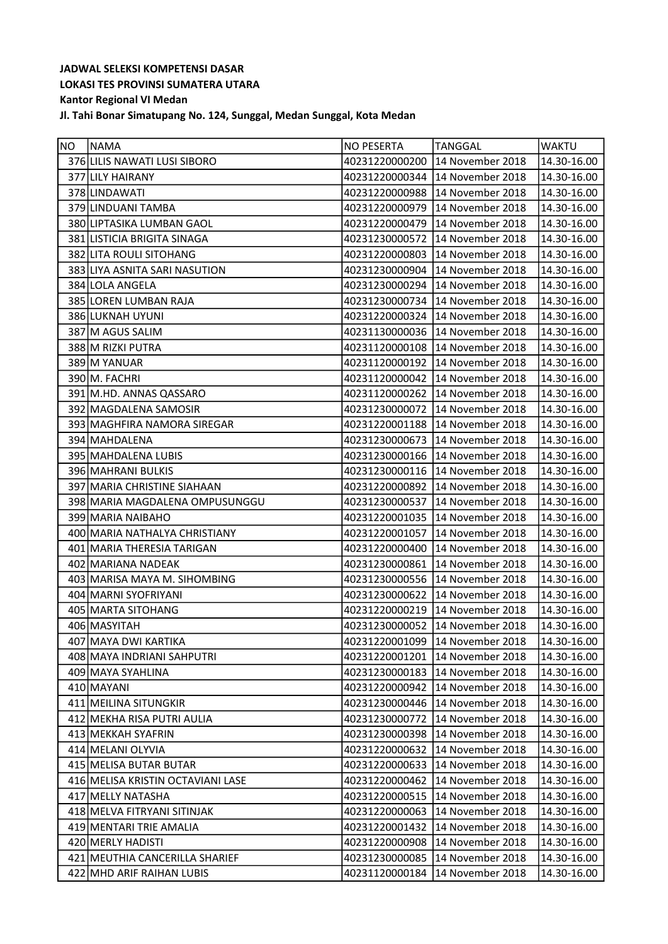| NO. | <b>NAMA</b>                       | <b>NO PESERTA</b> | <b>TANGGAL</b>                  | <b>WAKTU</b> |
|-----|-----------------------------------|-------------------|---------------------------------|--------------|
|     | 376 LILIS NAWATI LUSI SIBORO      | 40231220000200    | 14 November 2018                | 14.30-16.00  |
|     | 377 LILY HAIRANY                  |                   | 40231220000344 14 November 2018 | 14.30-16.00  |
|     | 378 LINDAWATI                     | 40231220000988    | 14 November 2018                | 14.30-16.00  |
|     | 379 LINDUANI TAMBA                | 40231220000979    | 14 November 2018                | 14.30-16.00  |
|     | 380 LIPTASIKA LUMBAN GAOL         | 40231220000479    | 14 November 2018                | 14.30-16.00  |
|     | 381 LISTICIA BRIGITA SINAGA       | 40231230000572    | 14 November 2018                | 14.30-16.00  |
|     | 382 LITA ROULI SITOHANG           | 40231220000803    | 14 November 2018                | 14.30-16.00  |
|     | 383 LIYA ASNITA SARI NASUTION     |                   | 40231230000904 14 November 2018 | 14.30-16.00  |
|     | 384 LOLA ANGELA                   | 40231230000294    | 14 November 2018                | 14.30-16.00  |
|     | 385 LOREN LUMBAN RAJA             | 40231230000734    | 14 November 2018                | 14.30-16.00  |
|     | 386 LUKNAH UYUNI                  | 40231220000324    | 14 November 2018                | 14.30-16.00  |
|     | 387 M AGUS SALIM                  | 40231130000036    | 14 November 2018                | 14.30-16.00  |
|     | 388 M RIZKI PUTRA                 | 40231120000108    | 14 November 2018                | 14.30-16.00  |
|     | 389 M YANUAR                      | 40231120000192    | 14 November 2018                | 14.30-16.00  |
|     | 390 M. FACHRI                     | 40231120000042    | 14 November 2018                | 14.30-16.00  |
|     | 391 M.HD. ANNAS QASSARO           | 40231120000262    | 14 November 2018                | 14.30-16.00  |
|     | 392 MAGDALENA SAMOSIR             | 40231230000072    | 14 November 2018                | 14.30-16.00  |
|     | 393 MAGHFIRA NAMORA SIREGAR       | 40231220001188    | 14 November 2018                | 14.30-16.00  |
|     | 394 MAHDALENA                     | 40231230000673    | 14 November 2018                | 14.30-16.00  |
|     | 395 MAHDALENA LUBIS               | 40231230000166    | 14 November 2018                | 14.30-16.00  |
|     | 396 MAHRANI BULKIS                | 40231230000116    | 14 November 2018                | 14.30-16.00  |
|     | 397 MARIA CHRISTINE SIAHAAN       | 40231220000892    | 14 November 2018                | 14.30-16.00  |
|     | 398 MARIA MAGDALENA OMPUSUNGGU    | 40231230000537    | 14 November 2018                | 14.30-16.00  |
|     | 399 MARIA NAIBAHO                 | 40231220001035    | 14 November 2018                | 14.30-16.00  |
|     | 400 MARIA NATHALYA CHRISTIANY     | 40231220001057    | 14 November 2018                | 14.30-16.00  |
|     | 401 MARIA THERESIA TARIGAN        | 40231220000400    | 14 November 2018                | 14.30-16.00  |
|     | 402 MARIANA NADEAK                | 40231230000861    | 14 November 2018                | 14.30-16.00  |
|     | 403 MARISA MAYA M. SIHOMBING      | 40231230000556    | 14 November 2018                | 14.30-16.00  |
|     | 404 MARNI SYOFRIYANI              | 40231230000622    | 14 November 2018                | 14.30-16.00  |
|     | 405 MARTA SITOHANG                | 40231220000219    | 14 November 2018                | 14.30-16.00  |
|     | 406 MASYITAH                      |                   | 40231230000052 14 November 2018 | 14.30-16.00  |
|     | 407 MAYA DWI KARTIKA              |                   | 40231220001099 14 November 2018 | 14.30-16.00  |
|     | 408   MAYA INDRIANI SAHPUTRI      | 40231220001201    | 14 November 2018                | 14.30-16.00  |
|     | 409 MAYA SYAHLINA                 | 40231230000183    | 14 November 2018                | 14.30-16.00  |
|     | 410 MAYANI                        | 40231220000942    | 14 November 2018                | 14.30-16.00  |
|     | 411 MEILINA SITUNGKIR             | 40231230000446    | 14 November 2018                | 14.30-16.00  |
|     | 412 MEKHA RISA PUTRI AULIA        | 40231230000772    | 14 November 2018                | 14.30-16.00  |
|     | 413 MEKKAH SYAFRIN                | 40231230000398    | 14 November 2018                | 14.30-16.00  |
|     | 414 MELANI OLYVIA                 | 40231220000632    | 14 November 2018                | 14.30-16.00  |
|     | 415 MELISA BUTAR BUTAR            | 40231220000633    | 14 November 2018                | 14.30-16.00  |
|     | 416 MELISA KRISTIN OCTAVIANI LASE | 40231220000462    | 14 November 2018                | 14.30-16.00  |
|     | 417 MELLY NATASHA                 | 40231220000515    | 14 November 2018                | 14.30-16.00  |
|     | 418 MELVA FITRYANI SITINJAK       | 40231220000063    | 14 November 2018                | 14.30-16.00  |
|     | 419 MENTARI TRIE AMALIA           | 40231220001432    | 14 November 2018                | 14.30-16.00  |
|     | 420 MERLY HADISTI                 | 40231220000908    | 14 November 2018                | 14.30-16.00  |
|     | 421 MEUTHIA CANCERILLA SHARIEF    | 40231230000085    | 14 November 2018                | 14.30-16.00  |
|     | 422 MHD ARIF RAIHAN LUBIS         | 40231120000184    | 14 November 2018                | 14.30-16.00  |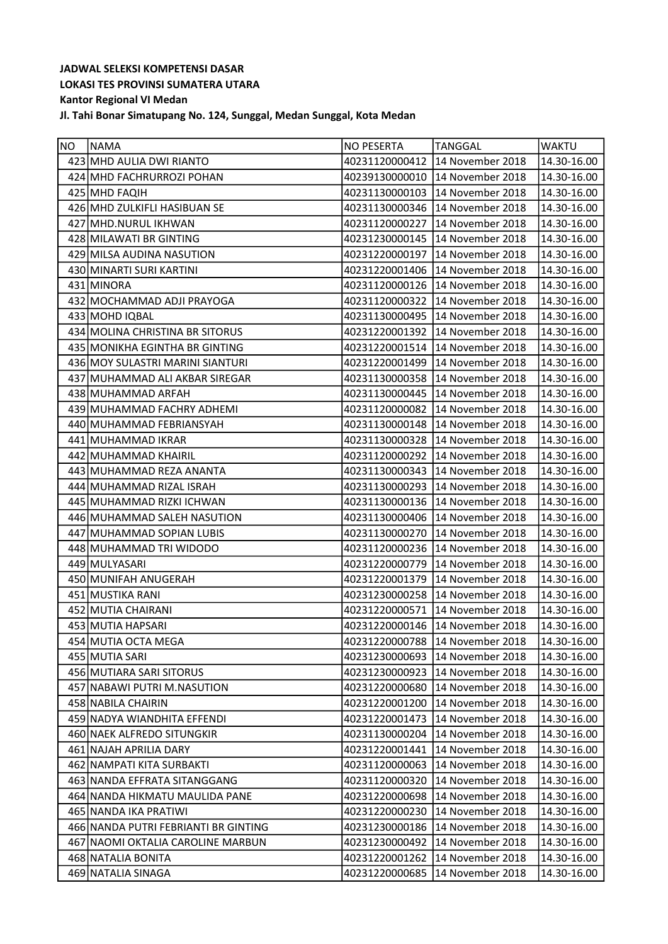| <b>NO</b> | NAMA                                 | NO PESERTA     | <b>TANGGAL</b>                  | <b>WAKTU</b> |
|-----------|--------------------------------------|----------------|---------------------------------|--------------|
|           | 423 MHD AULIA DWI RIANTO             |                | 40231120000412 14 November 2018 | 14.30-16.00  |
|           | 424 MHD FACHRURROZI POHAN            | 40239130000010 | 14 November 2018                | 14.30-16.00  |
|           | 425 MHD FAQIH                        | 40231130000103 | 14 November 2018                | 14.30-16.00  |
|           | 426 MHD ZULKIFLI HASIBUAN SE         |                | 40231130000346 14 November 2018 | 14.30-16.00  |
|           | 427 MHD.NURUL IKHWAN                 | 40231120000227 | 14 November 2018                | 14.30-16.00  |
|           | 428 MILAWATI BR GINTING              | 40231230000145 | 14 November 2018                | 14.30-16.00  |
|           | 429 MILSA AUDINA NASUTION            |                | 40231220000197 14 November 2018 | 14.30-16.00  |
|           | 430 MINARTI SURI KARTINI             | 40231220001406 | 14 November 2018                | 14.30-16.00  |
|           | 431 MINORA                           | 40231120000126 | 14 November 2018                | 14.30-16.00  |
|           | 432 MOCHAMMAD ADJI PRAYOGA           | 40231120000322 | 14 November 2018                | 14.30-16.00  |
|           | 433 MOHD IQBAL                       | 40231130000495 | 14 November 2018                | 14.30-16.00  |
|           | 434 MOLINA CHRISTINA BR SITORUS      | 40231220001392 | 14 November 2018                | 14.30-16.00  |
|           | 435 MONIKHA EGINTHA BR GINTING       |                | 40231220001514 14 November 2018 | 14.30-16.00  |
|           | 436 MOY SULASTRI MARINI SIANTURI     | 40231220001499 | 14 November 2018                | 14.30-16.00  |
|           | 437 MUHAMMAD ALI AKBAR SIREGAR       | 40231130000358 | 14 November 2018                | 14.30-16.00  |
|           | 438 MUHAMMAD ARFAH                   | 40231130000445 | 14 November 2018                | 14.30-16.00  |
|           | 439 MUHAMMAD FACHRY ADHEMI           | 40231120000082 | 14 November 2018                | 14.30-16.00  |
|           | 440 MUHAMMAD FEBRIANSYAH             | 40231130000148 | 14 November 2018                | 14.30-16.00  |
|           | 441 MUHAMMAD IKRAR                   | 40231130000328 | 14 November 2018                | 14.30-16.00  |
|           | 442 MUHAMMAD KHAIRIL                 |                | 40231120000292 14 November 2018 | 14.30-16.00  |
|           | 443 MUHAMMAD REZA ANANTA             | 40231130000343 | 14 November 2018                | 14.30-16.00  |
|           | 444 MUHAMMAD RIZAL ISRAH             | 40231130000293 | 14 November 2018                | 14.30-16.00  |
|           | 445 MUHAMMAD RIZKI ICHWAN            | 40231130000136 | 14 November 2018                | 14.30-16.00  |
|           | 446 MUHAMMAD SALEH NASUTION          | 40231130000406 | 14 November 2018                | 14.30-16.00  |
|           | 447 MUHAMMAD SOPIAN LUBIS            | 40231130000270 | 14 November 2018                | 14.30-16.00  |
|           | 448 MUHAMMAD TRI WIDODO              | 40231120000236 | 14 November 2018                | 14.30-16.00  |
|           | 449 MULYASARI                        | 40231220000779 | 14 November 2018                | 14.30-16.00  |
|           | 450 MUNIFAH ANUGERAH                 | 40231220001379 | 14 November 2018                | 14.30-16.00  |
|           | 451 MUSTIKA RANI                     | 40231230000258 | 14 November 2018                | 14.30-16.00  |
|           | 452 MUTIA CHAIRANI                   |                | 40231220000571 14 November 2018 | 14.30-16.00  |
|           | 453 MUTIA HAPSARI                    |                | 40231220000146 14 November 2018 | 14.30-16.00  |
|           | 454 MUTIA OCTA MEGA                  |                | 40231220000788 14 November 2018 | 14.30-16.00  |
|           | 455 MUTIA SARI                       | 40231230000693 | 14 November 2018                | 14.30-16.00  |
|           | 456 MUTIARA SARI SITORUS             | 40231230000923 | 14 November 2018                | 14.30-16.00  |
|           | 457 NABAWI PUTRI M.NASUTION          | 40231220000680 | 14 November 2018                | 14.30-16.00  |
|           | 458 NABILA CHAIRIN                   | 40231220001200 | 14 November 2018                | 14.30-16.00  |
|           | 459 NADYA WIANDHITA EFFENDI          | 40231220001473 | 14 November 2018                | 14.30-16.00  |
|           | 460 NAEK ALFREDO SITUNGKIR           | 40231130000204 | 14 November 2018                | 14.30-16.00  |
|           | 461 NAJAH APRILIA DARY               | 40231220001441 | 14 November 2018                | 14.30-16.00  |
|           | 462 NAMPATI KITA SURBAKTI            | 40231120000063 | 14 November 2018                | 14.30-16.00  |
|           | 463 NANDA EFFRATA SITANGGANG         | 40231120000320 | 14 November 2018                | 14.30-16.00  |
|           | 464 NANDA HIKMATU MAULIDA PANE       | 40231220000698 | 14 November 2018                | 14.30-16.00  |
|           | 465 NANDA IKA PRATIWI                | 40231220000230 | 14 November 2018                | 14.30-16.00  |
|           | 466 NANDA PUTRI FEBRIANTI BR GINTING | 40231230000186 | 14 November 2018                | 14.30-16.00  |
|           | 467 NAOMI OKTALIA CAROLINE MARBUN    | 40231230000492 | 14 November 2018                | 14.30-16.00  |
|           | 468 NATALIA BONITA                   | 40231220001262 | 14 November 2018                | 14.30-16.00  |
|           | 469 NATALIA SINAGA                   | 40231220000685 | 14 November 2018                | 14.30-16.00  |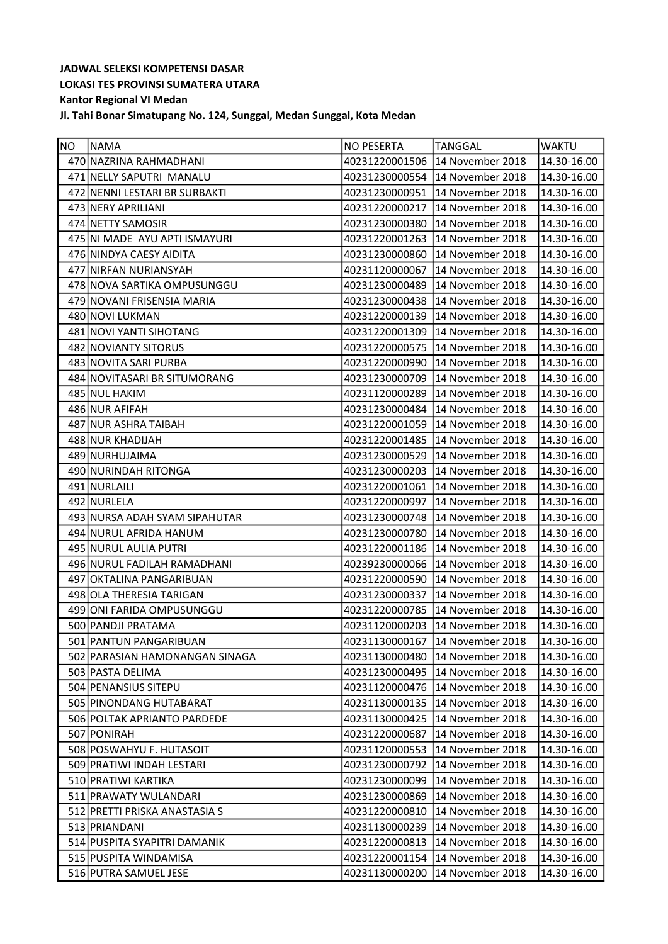| <b>NO</b> | NAMA                           | <b>NO PESERTA</b> | <b>TANGGAL</b>                  | <b>WAKTU</b>    |
|-----------|--------------------------------|-------------------|---------------------------------|-----------------|
|           | 470 NAZRINA RAHMADHANI         | 40231220001506    | 14 November 2018                | 14.30-16.00     |
|           | 471 NELLY SAPUTRI MANALU       | 40231230000554    | 14 November 2018                | 14.30-16.00     |
|           | 472 NENNI LESTARI BR SURBAKTI  | 40231230000951    | 14 November 2018                | 14.30-16.00     |
|           | 473 NERY APRILIANI             | 40231220000217    | 14 November 2018                | 14.30-16.00     |
|           | 474 NETTY SAMOSIR              | 40231230000380    | 14 November 2018                | 14.30-16.00     |
|           | 475 NI MADE AYU APTI ISMAYURI  | 40231220001263    | 14 November 2018                | 14.30-16.00     |
|           | 476 NINDYA CAESY AIDITA        | 40231230000860    | 14 November 2018                | 14.30-16.00     |
|           | 477 NIRFAN NURIANSYAH          | 40231120000067    | 14 November 2018                | 14.30-16.00     |
|           | 478 NOVA SARTIKA OMPUSUNGGU    | 40231230000489    | 14 November 2018                | 14.30-16.00     |
|           | 479 NOVANI FRISENSIA MARIA     | 40231230000438    | 14 November 2018                | 14.30-16.00     |
|           | 480 NOVI LUKMAN                | 40231220000139    | 14 November 2018                | 14.30-16.00     |
|           | 481 NOVI YANTI SIHOTANG        | 40231220001309    | 14 November 2018                | 14.30-16.00     |
|           | 482 NOVIANTY SITORUS           | 40231220000575    | 14 November 2018                | 14.30-16.00     |
|           | 483 NOVITA SARI PURBA          | 40231220000990    | 14 November 2018                | 14.30-16.00     |
|           | 484 NOVITASARI BR SITUMORANG   | 40231230000709    | 14 November 2018                | 14.30-16.00     |
|           | 485 NUL HAKIM                  | 40231120000289    | 14 November 2018                | 14.30-16.00     |
|           | 486 NUR AFIFAH                 | 40231230000484    | 14 November 2018                | 14.30-16.00     |
|           | 487 NUR ASHRA TAIBAH           | 40231220001059    | 14 November 2018                | 14.30-16.00     |
|           | 488 NUR KHADIJAH               | 40231220001485    | 14 November 2018                | 14.30-16.00     |
|           | 489 NURHUJAIMA                 | 40231230000529    | 14 November 2018                | 14.30-16.00     |
|           | 490 NURINDAH RITONGA           | 40231230000203    | 14 November 2018                | 14.30-16.00     |
|           | 491 NURLAILI                   | 40231220001061    | 14 November 2018                | 14.30-16.00     |
|           | 492 NURLELA                    | 40231220000997    | 14 November 2018                | 14.30-16.00     |
|           | 493 NURSA ADAH SYAM SIPAHUTAR  | 40231230000748    | 14 November 2018                | 14.30-16.00     |
|           | 494 NURUL AFRIDA HANUM         | 40231230000780    | 14 November 2018                | 14.30-16.00     |
|           | 495 NURUL AULIA PUTRI          | 40231220001186    | 14 November 2018                | 14.30-16.00     |
|           | 496 NURUL FADILAH RAMADHANI    | 40239230000066    | 14 November 2018                | 14.30-16.00     |
|           | 497 OKTALINA PANGARIBUAN       | 40231220000590    | 14 November 2018                | 14.30-16.00     |
|           | 498 OLA THERESIA TARIGAN       | 40231230000337    | 14 November 2018                | 14.30-16.00     |
|           | 499 ONI FARIDA OMPUSUNGGU      |                   | 40231220000785 14 November 2018 | 14.30-16.00     |
|           | 500 PANDJI PRATAMA             |                   | 40231120000203 14 November 2018 | 14.30-16.00     |
|           | 501 PANTUN PANGARIBUAN         |                   | 40231130000167 14 November 2018 | $14.30 - 16.00$ |
|           | 502 PARASIAN HAMONANGAN SINAGA | 40231130000480    | 14 November 2018                | 14.30-16.00     |
|           | 503 PASTA DELIMA               | 40231230000495    | 14 November 2018                | 14.30-16.00     |
|           | 504 PENANSIUS SITEPU           | 40231120000476    | 14 November 2018                | 14.30-16.00     |
|           | 505 PINONDANG HUTABARAT        | 40231130000135    | 14 November 2018                | 14.30-16.00     |
|           | 506 POLTAK APRIANTO PARDEDE    | 40231130000425    | 14 November 2018                | 14.30-16.00     |
|           | 507 PONIRAH                    | 40231220000687    | 14 November 2018                | 14.30-16.00     |
|           | 508 POSWAHYU F. HUTASOIT       | 40231120000553    | 14 November 2018                | 14.30-16.00     |
|           | 509 PRATIWI INDAH LESTARI      | 40231230000792    | 14 November 2018                | 14.30-16.00     |
|           | 510 PRATIWI KARTIKA            | 40231230000099    | 14 November 2018                | 14.30-16.00     |
|           | 511 PRAWATY WULANDARI          | 40231230000869    | 14 November 2018                | 14.30-16.00     |
|           | 512 PRETTI PRISKA ANASTASIA S  | 40231220000810    | 14 November 2018                | 14.30-16.00     |
|           | 513 PRIANDANI                  | 40231130000239    | 14 November 2018                | 14.30-16.00     |
|           | 514 PUSPITA SYAPITRI DAMANIK   | 40231220000813    | 14 November 2018                | 14.30-16.00     |
|           | 515 PUSPITA WINDAMISA          | 40231220001154    | 14 November 2018                | 14.30-16.00     |
|           | 516 PUTRA SAMUEL JESE          | 40231130000200    | 14 November 2018                | 14.30-16.00     |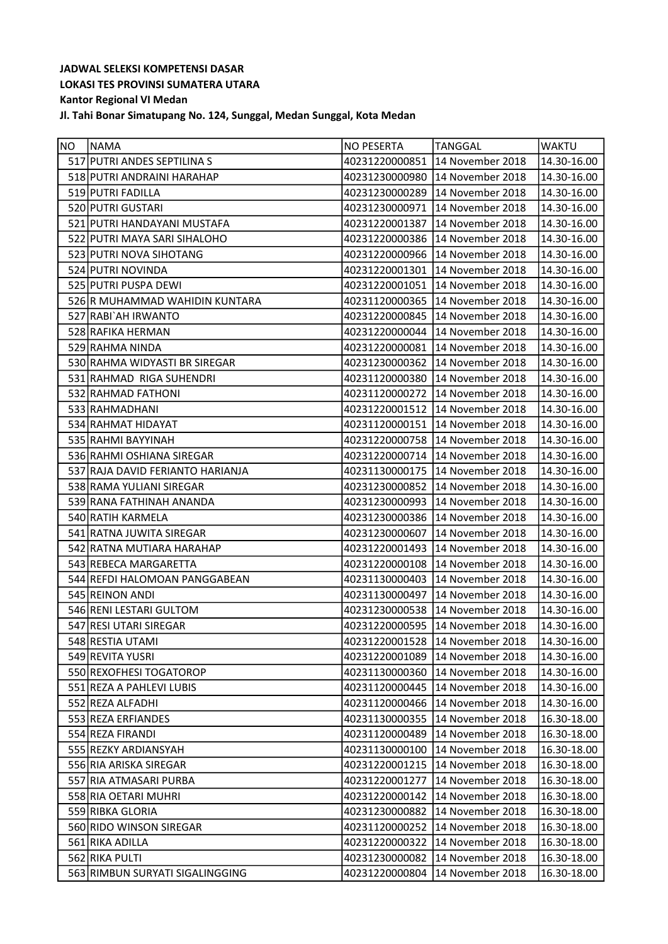| NO | NAMA                             | <b>NO PESERTA</b> | <b>TANGGAL</b>                    | <b>WAKTU</b>           |
|----|----------------------------------|-------------------|-----------------------------------|------------------------|
|    | 517 PUTRI ANDES SEPTILINA S      | 40231220000851    | 14 November 2018                  | 14.30-16.00            |
|    | 518 PUTRI ANDRAINI HARAHAP       | 40231230000980    | 14 November 2018                  | 14.30-16.00            |
|    | 519 PUTRI FADILLA                | 40231230000289    | 14 November 2018                  | 14.30-16.00            |
|    | 520 PUTRI GUSTARI                | 40231230000971    | 14 November 2018                  | 14.30-16.00            |
|    | 521 PUTRI HANDAYANI MUSTAFA      | 40231220001387    | 14 November 2018                  | 14.30-16.00            |
|    | 522 PUTRI MAYA SARI SIHALOHO     | 40231220000386    | 14 November 2018                  | 14.30-16.00            |
|    | 523 PUTRI NOVA SIHOTANG          | 40231220000966    | 14 November 2018                  | 14.30-16.00            |
|    | 524 PUTRI NOVINDA                | 40231220001301    | 14 November 2018                  | 14.30-16.00            |
|    | 525 PUTRI PUSPA DEWI             | 40231220001051    | 14 November 2018                  | 14.30-16.00            |
|    | 526 R MUHAMMAD WAHIDIN KUNTARA   | 40231120000365    | 14 November 2018                  | 14.30-16.00            |
|    | 527 RABI`AH IRWANTO              | 40231220000845    | 14 November 2018                  | 14.30-16.00            |
|    | 528 RAFIKA HERMAN                | 40231220000044    | 14 November 2018                  | 14.30-16.00            |
|    | 529 RAHMA NINDA                  | 40231220000081    | 14 November 2018                  | 14.30-16.00            |
|    | 530 RAHMA WIDYASTI BR SIREGAR    | 40231230000362    | 14 November 2018                  | 14.30-16.00            |
|    | 531 RAHMAD RIGA SUHENDRI         | 40231120000380    | 14 November 2018                  | 14.30-16.00            |
|    | 532 RAHMAD FATHONI               | 40231120000272    | 14 November 2018                  | 14.30-16.00            |
|    | 533 RAHMADHANI                   | 40231220001512    | 14 November 2018                  | 14.30-16.00            |
|    | 534 RAHMAT HIDAYAT               | 40231120000151    | 14 November 2018                  | 14.30-16.00            |
|    | 535 RAHMI BAYYINAH               | 40231220000758    | 14 November 2018                  | 14.30-16.00            |
|    | 536 RAHMI OSHIANA SIREGAR        | 40231220000714    | 14 November 2018                  | 14.30-16.00            |
|    | 537 RAJA DAVID FERIANTO HARIANJA | 40231130000175    | 14 November 2018                  | 14.30-16.00            |
|    | 538 RAMA YULIANI SIREGAR         | 40231230000852    | 14 November 2018                  | 14.30-16.00            |
|    | 539 RANA FATHINAH ANANDA         | 40231230000993    | 14 November 2018                  | 14.30-16.00            |
|    | 540 RATIH KARMELA                |                   | 40231230000386   14 November 2018 | 14.30-16.00            |
|    | 541 RATNA JUWITA SIREGAR         | 40231230000607    | 14 November 2018                  | 14.30-16.00            |
|    | 542 RATNA MUTIARA HARAHAP        | 40231220001493    | 14 November 2018                  | 14.30-16.00            |
|    | 543 REBECA MARGARETTA            | 40231220000108    | 14 November 2018                  | 14.30-16.00            |
|    | 544 REFDI HALOMOAN PANGGABEAN    | 40231130000403    | 14 November 2018                  | 14.30-16.00            |
|    | 545 REINON ANDI                  | 40231130000497    | 14 November 2018                  | 14.30-16.00            |
|    | 546 RENI LESTARI GULTOM          |                   | 40231230000538 14 November 2018   | 14.30-16.00            |
|    | 547 RESI UTARI SIREGAR           |                   | 40231220000595 14 November 2018   | 14.30-16.00            |
|    | 548 RESTIA UTAMI                 |                   | 40231220001528 14 November 2018   | $\sqrt{14.30 - 16.00}$ |
|    | 549 REVITA YUSRI                 | 40231220001089    | 14 November 2018                  | 14.30-16.00            |
|    | 550 REXOFHESI TOGATOROP          | 40231130000360    | 14 November 2018                  | 14.30-16.00            |
|    | 551 REZA A PAHLEVI LUBIS         | 40231120000445    | 14 November 2018                  | 14.30-16.00            |
|    | 552 REZA ALFADHI                 | 40231120000466    | 14 November 2018                  | 14.30-16.00            |
|    | 553 REZA ERFIANDES               | 40231130000355    | 14 November 2018                  | 16.30-18.00            |
|    | 554 REZA FIRANDI                 | 40231120000489    | 14 November 2018                  | 16.30-18.00            |
|    | 555 REZKY ARDIANSYAH             | 40231130000100    | 14 November 2018                  | 16.30-18.00            |
|    | 556 RIA ARISKA SIREGAR           | 40231220001215    | 14 November 2018                  | 16.30-18.00            |
|    | 557 RIA ATMASARI PURBA           | 40231220001277    | 14 November 2018                  | 16.30-18.00            |
|    | 558 RIA OETARI MUHRI             | 40231220000142    | 14 November 2018                  | 16.30-18.00            |
|    | 559 RIBKA GLORIA                 | 40231230000882    | 14 November 2018                  | 16.30-18.00            |
|    | 560 RIDO WINSON SIREGAR          | 40231120000252    | 14 November 2018                  | 16.30-18.00            |
|    | 561 RIKA ADILLA                  | 40231220000322    | 14 November 2018                  | 16.30-18.00            |
|    | 562 RIKA PULTI                   | 40231230000082    | 14 November 2018                  | 16.30-18.00            |
|    | 563 RIMBUN SURYATI SIGALINGGING  | 40231220000804    | 14 November 2018                  | 16.30-18.00            |
|    |                                  |                   |                                   |                        |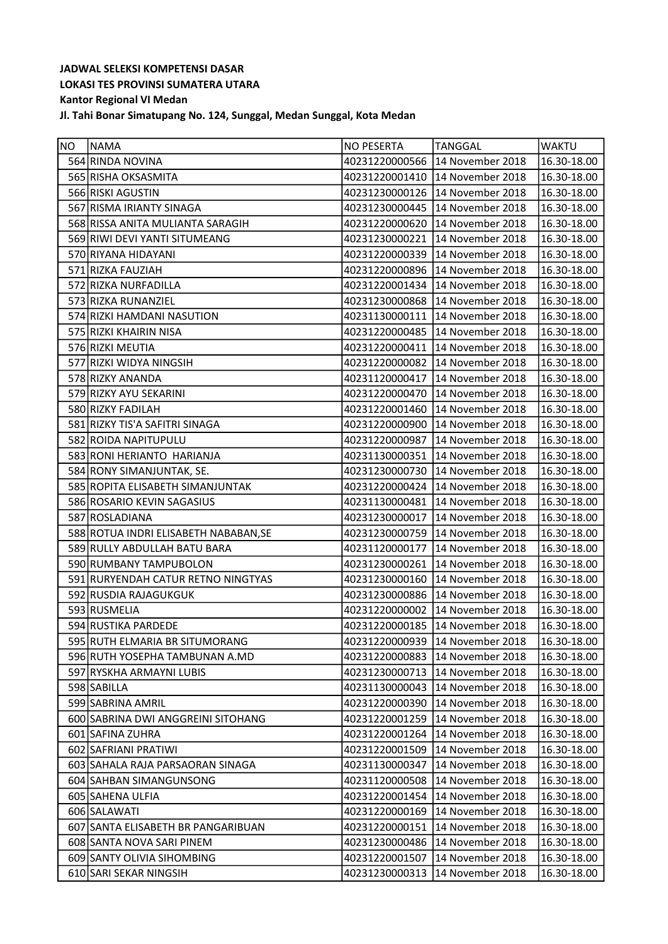| <b>NO</b> | <b>NAMA</b>                           | NO PESERTA     | TANGGAL                         | <b>WAKTU</b>           |
|-----------|---------------------------------------|----------------|---------------------------------|------------------------|
|           | 564 RINDA NOVINA                      |                | 40231220000566 14 November 2018 | 16.30-18.00            |
|           | 565 RISHA OKSASMITA                   | 40231220001410 | 14 November 2018                | 16.30-18.00            |
|           | 566 RISKI AGUSTIN                     | 40231230000126 | 14 November 2018                | 16.30-18.00            |
|           | 567 RISMA IRIANTY SINAGA              | 40231230000445 | 14 November 2018                | 16.30-18.00            |
|           | 568 RISSA ANITA MULIANTA SARAGIH      | 40231220000620 | 14 November 2018                | 16.30-18.00            |
|           | 569 RIWI DEVI YANTI SITUMEANG         | 40231230000221 | 14 November 2018                | 16.30-18.00            |
|           | 570 RIYANA HIDAYANI                   | 40231220000339 | 14 November 2018                | 16.30-18.00            |
|           | 571 RIZKA FAUZIAH                     | 40231220000896 | 14 November 2018                | 16.30-18.00            |
|           | 572 RIZKA NURFADILLA                  | 40231220001434 | 14 November 2018                | 16.30-18.00            |
|           | 573 RIZKA RUNANZIEL                   | 40231230000868 | 14 November 2018                | 16.30-18.00            |
|           | 574 RIZKI HAMDANI NASUTION            | 40231130000111 | 14 November 2018                | 16.30-18.00            |
|           | 575 RIZKI KHAIRIN NISA                |                | 40231220000485 14 November 2018 | 16.30-18.00            |
|           | 576 RIZKI MEUTIA                      | 40231220000411 | 14 November 2018                | 16.30-18.00            |
|           | 577 RIZKI WIDYA NINGSIH               |                | 40231220000082 14 November 2018 | 16.30-18.00            |
|           | 578 RIZKY ANANDA                      | 40231120000417 | 14 November 2018                | 16.30-18.00            |
|           | 579 RIZKY AYU SEKARINI                | 40231220000470 | 14 November 2018                | 16.30-18.00            |
|           | 580 RIZKY FADILAH                     | 40231220001460 | 14 November 2018                | 16.30-18.00            |
|           | 581 RIZKY TIS'A SAFITRI SINAGA        | 40231220000900 | 14 November 2018                | 16.30-18.00            |
|           | 582 ROIDA NAPITUPULU                  | 40231220000987 | 14 November 2018                | 16.30-18.00            |
|           | 583 RONI HERIANTO HARIANJA            | 40231130000351 | 14 November 2018                | 16.30-18.00            |
|           | 584 RONY SIMANJUNTAK, SE.             | 40231230000730 | 14 November 2018                | 16.30-18.00            |
|           | 585 ROPITA ELISABETH SIMANJUNTAK      | 40231220000424 | 14 November 2018                | 16.30-18.00            |
|           | 586 ROSARIO KEVIN SAGASIUS            | 40231130000481 | 14 November 2018                | 16.30-18.00            |
|           | 587 ROSLADIANA                        |                | 40231230000017 14 November 2018 | 16.30-18.00            |
|           | 588 ROTUA INDRI ELISABETH NABABAN, SE | 40231230000759 | 14 November 2018                | 16.30-18.00            |
|           | 589 RULLY ABDULLAH BATU BARA          | 40231120000177 | 14 November 2018                | 16.30-18.00            |
|           | 590 RUMBANY TAMPUBOLON                | 40231230000261 | 14 November 2018                | 16.30-18.00            |
|           | 591 RURYENDAH CATUR RETNO NINGTYAS    | 40231230000160 | 14 November 2018                | 16.30-18.00            |
|           | 592 RUSDIA RAJAGUKGUK                 | 40231230000886 | 14 November 2018                | 16.30-18.00            |
|           | 593 RUSMELIA                          |                | 40231220000002 14 November 2018 | 16.30-18.00            |
|           | 594 RUSTIKA PARDEDE                   |                | 40231220000185 14 November 2018 | 16.30-18.00            |
|           | 595 RUTH ELMARIA BR SITUMORANG        |                | 40231220000939 14 November 2018 | $\sqrt{16.30 - 18.00}$ |
|           | 596 RUTH YOSEPHA TAMBUNAN A.MD        | 40231220000883 | 14 November 2018                | 16.30-18.00            |
|           | 597 RYSKHA ARMAYNI LUBIS              | 40231230000713 | 14 November 2018                | 16.30-18.00            |
|           | 598 SABILLA                           | 40231130000043 | 14 November 2018                | 16.30-18.00            |
|           | 599 SABRINA AMRIL                     | 40231220000390 | 14 November 2018                | 16.30-18.00            |
|           | 600 SABRINA DWI ANGGREINI SITOHANG    | 40231220001259 | 14 November 2018                | 16.30-18.00            |
|           | 601 SAFINA ZUHRA                      | 40231220001264 | 14 November 2018                | 16.30-18.00            |
|           | 602 SAFRIANI PRATIWI                  | 40231220001509 | 14 November 2018                | 16.30-18.00            |
|           | 603 SAHALA RAJA PARSAORAN SINAGA      | 40231130000347 | 14 November 2018                | 16.30-18.00            |
|           | 604 SAHBAN SIMANGUNSONG               | 40231120000508 | 14 November 2018                | 16.30-18.00            |
|           | 605 SAHENA ULFIA                      | 40231220001454 | 14 November 2018                | 16.30-18.00            |
|           | 606 SALAWATI                          | 40231220000169 | 14 November 2018                | 16.30-18.00            |
|           | 607 SANTA ELISABETH BR PANGARIBUAN    | 40231220000151 | 14 November 2018                | 16.30-18.00            |
|           | 608 SANTA NOVA SARI PINEM             | 40231230000486 | 14 November 2018                | 16.30-18.00            |
|           | 609 SANTY OLIVIA SIHOMBING            | 40231220001507 | 14 November 2018                | 16.30-18.00            |
|           | 610 SARI SEKAR NINGSIH                | 40231230000313 | 14 November 2018                | 16.30-18.00            |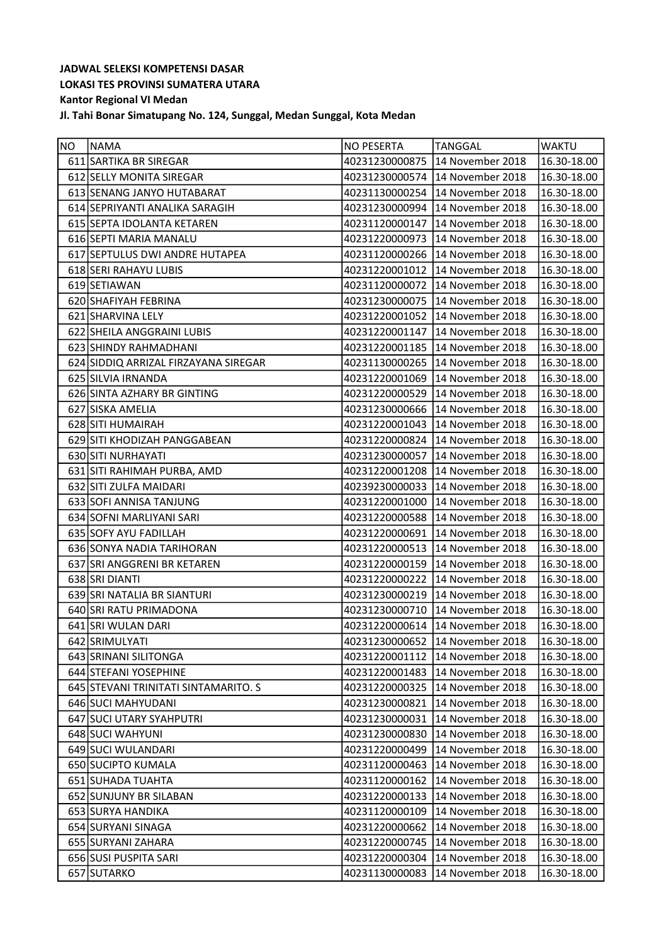| <b>NO</b> | <b>NAMA</b>                          | <b>NO PESERTA</b> | TANGGAL                         | <b>WAKTU</b> |
|-----------|--------------------------------------|-------------------|---------------------------------|--------------|
|           | 611 SARTIKA BR SIREGAR               | 40231230000875    | 14 November 2018                | 16.30-18.00  |
|           | 612 SELLY MONITA SIREGAR             | 40231230000574    | 14 November 2018                | 16.30-18.00  |
|           | 613 SENANG JANYO HUTABARAT           | 40231130000254    | 14 November 2018                | 16.30-18.00  |
|           | 614 SEPRIYANTI ANALIKA SARAGIH       | 40231230000994    | 14 November 2018                | 16.30-18.00  |
|           | 615 SEPTA IDOLANTA KETAREN           | 40231120000147    | 14 November 2018                | 16.30-18.00  |
|           | 616 SEPTI MARIA MANALU               | 40231220000973    | 14 November 2018                | 16.30-18.00  |
|           | 617 SEPTULUS DWI ANDRE HUTAPEA       | 40231120000266    | 14 November 2018                | 16.30-18.00  |
|           | 618 SERI RAHAYU LUBIS                |                   | 40231220001012 14 November 2018 | 16.30-18.00  |
|           | 619 SETIAWAN                         | 40231120000072    | 14 November 2018                | 16.30-18.00  |
|           | 620 SHAFIYAH FEBRINA                 | 40231230000075    | 14 November 2018                | 16.30-18.00  |
|           | 621 SHARVINA LELY                    |                   | 40231220001052 14 November 2018 | 16.30-18.00  |
|           | 622 SHEILA ANGGRAINI LUBIS           | 40231220001147    | 14 November 2018                | 16.30-18.00  |
|           | 623 SHINDY RAHMADHANI                | 40231220001185    | 14 November 2018                | 16.30-18.00  |
|           | 624 SIDDIQ ARRIZAL FIRZAYANA SIREGAR |                   | 40231130000265 14 November 2018 | 16.30-18.00  |
|           | 625 SILVIA IRNANDA                   | 40231220001069    | 14 November 2018                | 16.30-18.00  |
|           | 626 SINTA AZHARY BR GINTING          | 40231220000529    | 14 November 2018                | 16.30-18.00  |
|           | 627 SISKA AMELIA                     | 40231230000666    | 14 November 2018                | 16.30-18.00  |
|           | 628 SITI HUMAIRAH                    |                   | 40231220001043 14 November 2018 | 16.30-18.00  |
|           | 629 SITI KHODIZAH PANGGABEAN         | 40231220000824    | 14 November 2018                | 16.30-18.00  |
|           | 630 SITI NURHAYATI                   | 40231230000057    | 14 November 2018                | 16.30-18.00  |
|           | 631 SITI RAHIMAH PURBA, AMD          | 40231220001208    | 14 November 2018                | 16.30-18.00  |
|           | 632 SITI ZULFA MAIDARI               | 40239230000033    | 14 November 2018                | 16.30-18.00  |
|           | 633 SOFI ANNISA TANJUNG              | 40231220001000    | 14 November 2018                | 16.30-18.00  |
|           | 634 SOFNI MARLIYANI SARI             | 40231220000588    | 14 November 2018                | 16.30-18.00  |
|           | 635 SOFY AYU FADILLAH                | 40231220000691    | 14 November 2018                | 16.30-18.00  |
|           | 636 SONYA NADIA TARIHORAN            | 40231220000513    | 14 November 2018                | 16.30-18.00  |
|           | 637 SRI ANGGRENI BR KETAREN          | 40231220000159    | 14 November 2018                | 16.30-18.00  |
|           | 638 SRI DIANTI                       |                   | 40231220000222 14 November 2018 | 16.30-18.00  |
|           | 639 SRI NATALIA BR SIANTURI          | 40231230000219    | 14 November 2018                | 16.30-18.00  |
|           | 640 SRI RATU PRIMADONA               |                   | 40231230000710 14 November 2018 | 16.30-18.00  |
|           | 641 SRI WULAN DARI                   |                   | 40231220000614 14 November 2018 | 16.30-18.00  |
|           | 642 SRIMULYATI                       |                   | 40231230000652 14 November 2018 | 16.30-18.00  |
|           | 643 SRINANI SILITONGA                |                   | 40231220001112 14 November 2018 | 16.30-18.00  |
|           | 644 STEFANI YOSEPHINE                | 40231220001483    | 14 November 2018                | 16.30-18.00  |
|           | 645 STEVANI TRINITATI SINTAMARITO. S | 40231220000325    | 14 November 2018                | 16.30-18.00  |
|           | 646 SUCI MAHYUDANI                   | 40231230000821    | 14 November 2018                | 16.30-18.00  |
|           | 647 SUCI UTARY SYAHPUTRI             | 40231230000031    | 14 November 2018                | 16.30-18.00  |
|           | 648 SUCI WAHYUNI                     | 40231230000830    | 14 November 2018                | 16.30-18.00  |
|           | 649 SUCI WULANDARI                   | 40231220000499    | 14 November 2018                | 16.30-18.00  |
|           | 650 SUCIPTO KUMALA                   | 40231120000463    | 14 November 2018                | 16.30-18.00  |
|           | 651 SUHADA TUAHTA                    | 40231120000162    | 14 November 2018                | 16.30-18.00  |
|           | 652 SUNJUNY BR SILABAN               | 40231220000133    | 14 November 2018                | 16.30-18.00  |
|           | 653 SURYA HANDIKA                    | 40231120000109    | 14 November 2018                | 16.30-18.00  |
|           | 654 SURYANI SINAGA                   | 40231220000662    | 14 November 2018                | 16.30-18.00  |
|           | 655 SURYANI ZAHARA                   | 40231220000745    | 14 November 2018                | 16.30-18.00  |
|           | 656 SUSI PUSPITA SARI                | 40231220000304    | 14 November 2018                | 16.30-18.00  |
|           | 657 SUTARKO                          | 40231130000083    | 14 November 2018                | 16.30-18.00  |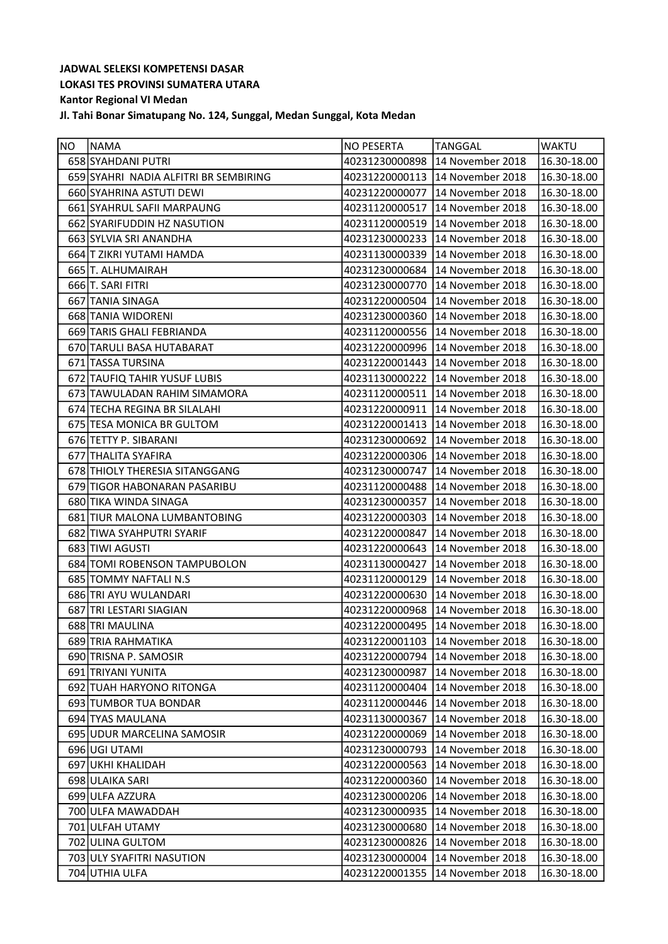| <b>INO</b> | <b>NAMA</b>                           | <b>NO PESERTA</b> | <b>TANGGAL</b>                    | <b>WAKTU</b>           |
|------------|---------------------------------------|-------------------|-----------------------------------|------------------------|
|            | 658 SYAHDANI PUTRI                    | 40231230000898    | 14 November 2018                  | 16.30-18.00            |
|            | 659 SYAHRI NADIA ALFITRI BR SEMBIRING |                   | 40231220000113   14 November 2018 | 16.30-18.00            |
|            | 660 SYAHRINA ASTUTI DEWI              | 40231220000077    | 14 November 2018                  | 16.30-18.00            |
|            | 661 SYAHRUL SAFII MARPAUNG            | 40231120000517    | 14 November 2018                  | 16.30-18.00            |
|            | 662 SYARIFUDDIN HZ NASUTION           | 40231120000519    | 14 November 2018                  | 16.30-18.00            |
|            | 663 SYLVIA SRI ANANDHA                | 40231230000233    | 14 November 2018                  | 16.30-18.00            |
|            | 664 T ZIKRI YUTAMI HAMDA              | 40231130000339    | 14 November 2018                  | 16.30-18.00            |
|            | 665 T. ALHUMAIRAH                     | 40231230000684    | 14 November 2018                  | 16.30-18.00            |
|            | 666 T. SARI FITRI                     | 40231230000770    | 14 November 2018                  | 16.30-18.00            |
|            | 667 TANIA SINAGA                      | 40231220000504    | 14 November 2018                  | 16.30-18.00            |
|            | 668 TANIA WIDORENI                    | 40231230000360    | 14 November 2018                  | 16.30-18.00            |
|            | 669 TARIS GHALI FEBRIANDA             | 40231120000556    | 14 November 2018                  | 16.30-18.00            |
|            | 670 TARULI BASA HUTABARAT             | 40231220000996    | 14 November 2018                  | 16.30-18.00            |
|            | 671 TASSA TURSINA                     | 40231220001443    | 14 November 2018                  | 16.30-18.00            |
|            | 672 TAUFIQ TAHIR YUSUF LUBIS          |                   | 40231130000222 14 November 2018   | 16.30-18.00            |
|            | 673 TAWULADAN RAHIM SIMAMORA          | 40231120000511    | 14 November 2018                  | 16.30-18.00            |
|            | 674 TECHA REGINA BR SILALAHI          | 40231220000911    | 14 November 2018                  | 16.30-18.00            |
|            | 675 TESA MONICA BR GULTOM             | 40231220001413    | 14 November 2018                  | 16.30-18.00            |
|            | 676 TETTY P. SIBARANI                 | 40231230000692    | 14 November 2018                  | 16.30-18.00            |
|            | 677 THALITA SYAFIRA                   | 40231220000306    | 14 November 2018                  | 16.30-18.00            |
|            | 678 THIOLY THERESIA SITANGGANG        | 40231230000747    | 14 November 2018                  | 16.30-18.00            |
|            | 679 TIGOR HABONARAN PASARIBU          | 40231120000488    | 14 November 2018                  | 16.30-18.00            |
|            | 680 TIKA WINDA SINAGA                 | 40231230000357    | 14 November 2018                  | 16.30-18.00            |
|            | 681 TIUR MALONA LUMBANTOBING          | 40231220000303    | 14 November 2018                  | 16.30-18.00            |
|            | 682 TIWA SYAHPUTRI SYARIF             | 40231220000847    | 14 November 2018                  | 16.30-18.00            |
|            | 683 TIWI AGUSTI                       | 40231220000643    | 14 November 2018                  | 16.30-18.00            |
|            | 684 TOMI ROBENSON TAMPUBOLON          | 40231130000427    | 14 November 2018                  | 16.30-18.00            |
|            | 685 TOMMY NAFTALI N.S                 | 40231120000129    | 14 November 2018                  | 16.30-18.00            |
|            | 686 TRI AYU WULANDARI                 | 40231220000630    | 14 November 2018                  | 16.30-18.00            |
|            | 687 TRI LESTARI SIAGIAN               |                   | 40231220000968 14 November 2018   | 16.30-18.00            |
|            | 688 TRI MAULINA                       |                   | 40231220000495 14 November 2018   | 16.30-18.00            |
|            | 689 TRIA RAHMATIKA                    |                   | 40231220001103 14 November 2018   | $\sqrt{16.30 - 18.00}$ |
|            | 690 TRISNA P. SAMOSIR                 | 40231220000794    | 14 November 2018                  | 16.30-18.00            |
|            | 691 TRIYANI YUNITA                    | 40231230000987    | 14 November 2018                  | 16.30-18.00            |
|            | 692 TUAH HARYONO RITONGA              | 40231120000404    | 14 November 2018                  | 16.30-18.00            |
|            | 693 TUMBOR TUA BONDAR                 | 40231120000446    | 14 November 2018                  | 16.30-18.00            |
|            | 694 TYAS MAULANA                      | 40231130000367    | 14 November 2018                  | 16.30-18.00            |
|            | 695 UDUR MARCELINA SAMOSIR            | 40231220000069    | 14 November 2018                  | 16.30-18.00            |
|            | 696 UGI UTAMI                         | 40231230000793    | 14 November 2018                  | 16.30-18.00            |
|            | 697 UKHI KHALIDAH                     | 40231220000563    | 14 November 2018                  | 16.30-18.00            |
|            | 698 ULAIKA SARI                       | 40231220000360    | 14 November 2018                  | 16.30-18.00            |
|            | 699 ULFA AZZURA                       | 40231230000206    | 14 November 2018                  | 16.30-18.00            |
|            | 700 ULFA MAWADDAH                     | 40231230000935    | 14 November 2018                  | 16.30-18.00            |
|            | 701 ULFAH UTAMY                       | 40231230000680    | 14 November 2018                  | 16.30-18.00            |
|            | 702 ULINA GULTOM                      | 40231230000826    | 14 November 2018                  | 16.30-18.00            |
|            | 703 ULY SYAFITRI NASUTION             | 40231230000004    | 14 November 2018                  | 16.30-18.00            |
|            | 704 UTHIA ULFA                        | 40231220001355    | 14 November 2018                  | 16.30-18.00            |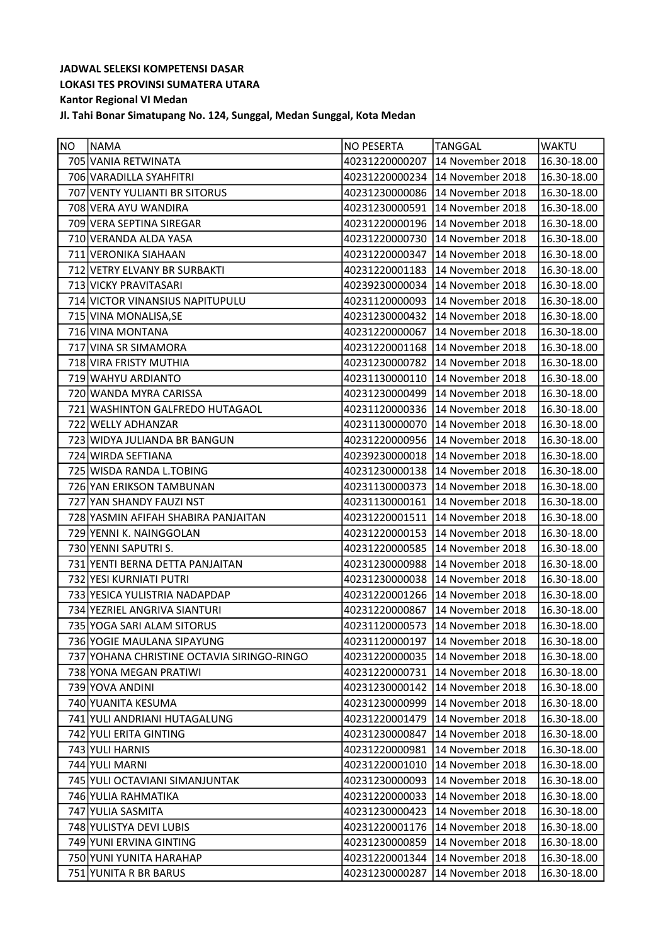| <b>NO</b> | NAMA                                       | <b>NO PESERTA</b> | <b>TANGGAL</b>                  | <b>WAKTU</b>    |
|-----------|--------------------------------------------|-------------------|---------------------------------|-----------------|
|           | 705 VANIA RETWINATA                        | 40231220000207    | 14 November 2018                | 16.30-18.00     |
|           | 706 VARADILLA SYAHFITRI                    | 40231220000234    | 14 November 2018                | 16.30-18.00     |
|           | 707 VENTY YULIANTI BR SITORUS              | 40231230000086    | 14 November 2018                | 16.30-18.00     |
|           | 708 VERA AYU WANDIRA                       | 40231230000591    | 14 November 2018                | 16.30-18.00     |
|           | 709 VERA SEPTINA SIREGAR                   | 40231220000196    | 14 November 2018                | 16.30-18.00     |
|           | 710 VERANDA ALDA YASA                      | 40231220000730    | 14 November 2018                | 16.30-18.00     |
|           | 711 VERONIKA SIAHAAN                       | 40231220000347    | 14 November 2018                | 16.30-18.00     |
|           | 712 VETRY ELVANY BR SURBAKTI               | 40231220001183    | 14 November 2018                | 16.30-18.00     |
|           | 713 VICKY PRAVITASARI                      | 40239230000034    | 14 November 2018                | 16.30-18.00     |
|           | 714 VICTOR VINANSIUS NAPITUPULU            | 40231120000093    | 14 November 2018                | 16.30-18.00     |
|           | 715 VINA MONALISA, SE                      | 40231230000432    | 14 November 2018                | 16.30-18.00     |
|           | 716 VINA MONTANA                           | 40231220000067    | 14 November 2018                | 16.30-18.00     |
|           | 717 VINA SR SIMAMORA                       | 40231220001168    | 14 November 2018                | 16.30-18.00     |
|           | 718 VIRA FRISTY MUTHIA                     |                   | 40231230000782 14 November 2018 | 16.30-18.00     |
|           | 719 WAHYU ARDIANTO                         | 40231130000110    | 14 November 2018                | 16.30-18.00     |
|           | 720 WANDA MYRA CARISSA                     | 40231230000499    | 14 November 2018                | 16.30-18.00     |
|           | 721 WASHINTON GALFREDO HUTAGAOL            | 40231120000336    | 14 November 2018                | 16.30-18.00     |
|           | 722 WELLY ADHANZAR                         | 40231130000070    | 14 November 2018                | 16.30-18.00     |
|           | 723 WIDYA JULIANDA BR BANGUN               | 40231220000956    | 14 November 2018                | 16.30-18.00     |
|           | 724 WIRDA SEFTIANA                         | 40239230000018    | 14 November 2018                | 16.30-18.00     |
|           | 725 WISDA RANDA L.TOBING                   | 40231230000138    | 14 November 2018                | 16.30-18.00     |
|           | 726 YAN ERIKSON TAMBUNAN                   | 40231130000373    | 14 November 2018                | 16.30-18.00     |
|           | 727 YAN SHANDY FAUZI NST                   | 40231130000161    | 14 November 2018                | 16.30-18.00     |
|           | 728 YASMIN AFIFAH SHABIRA PANJAITAN        |                   | 40231220001511 14 November 2018 | 16.30-18.00     |
|           | 729 YENNI K. NAINGGOLAN                    | 40231220000153    | 14 November 2018                | 16.30-18.00     |
|           | 730 YENNI SAPUTRI S.                       | 40231220000585    | 14 November 2018                | 16.30-18.00     |
|           | 731 YENTI BERNA DETTA PANJAITAN            | 40231230000988    | 14 November 2018                | 16.30-18.00     |
|           | 732 YESI KURNIATI PUTRI                    | 40231230000038    | 14 November 2018                | 16.30-18.00     |
|           | 733 YESICA YULISTRIA NADAPDAP              | 40231220001266    | 14 November 2018                | 16.30-18.00     |
|           | 734 YEZRIEL ANGRIVA SIANTURI               | 40231220000867    | 14 November 2018                | 16.30-18.00     |
|           | 735 YOGA SARI ALAM SITORUS                 |                   | 40231120000573 14 November 2018 | 16.30-18.00     |
|           | 736 YOGIE MAULANA SIPAYUNG                 |                   | 40231120000197 14 November 2018 | $16.30 - 18.00$ |
|           | 737 YOHANA CHRISTINE OCTAVIA SIRINGO-RINGO | 40231220000035    | 14 November 2018                | 16.30-18.00     |
|           | 738 YONA MEGAN PRATIWI                     | 40231220000731    | 14 November 2018                | 16.30-18.00     |
|           | 739 YOVA ANDINI                            | 40231230000142    | 14 November 2018                | 16.30-18.00     |
|           | 740 YUANITA KESUMA                         | 40231230000999    | 14 November 2018                | 16.30-18.00     |
|           | 741 YULI ANDRIANI HUTAGALUNG               | 40231220001479    | 14 November 2018                | 16.30-18.00     |
|           | 742 YULI ERITA GINTING                     | 40231230000847    | 14 November 2018                | 16.30-18.00     |
|           | 743 YULI HARNIS                            | 40231220000981    | 14 November 2018                | 16.30-18.00     |
|           | 744 YULI MARNI                             | 40231220001010    | 14 November 2018                | 16.30-18.00     |
|           | 745 YULI OCTAVIANI SIMANJUNTAK             | 40231230000093    | 14 November 2018                | 16.30-18.00     |
|           | 746 YULIA RAHMATIKA                        | 40231220000033    | 14 November 2018                | 16.30-18.00     |
|           | 747 YULIA SASMITA                          | 40231230000423    | 14 November 2018                | 16.30-18.00     |
|           | 748 YULISTYA DEVI LUBIS                    | 40231220001176    | 14 November 2018                | 16.30-18.00     |
|           | 749 YUNI ERVINA GINTING                    | 40231230000859    | 14 November 2018                | 16.30-18.00     |
|           | 750 YUNI YUNITA HARAHAP                    | 40231220001344    | 14 November 2018                | 16.30-18.00     |
|           | 751 YUNITA R BR BARUS                      | 40231230000287    | 14 November 2018                | 16.30-18.00     |